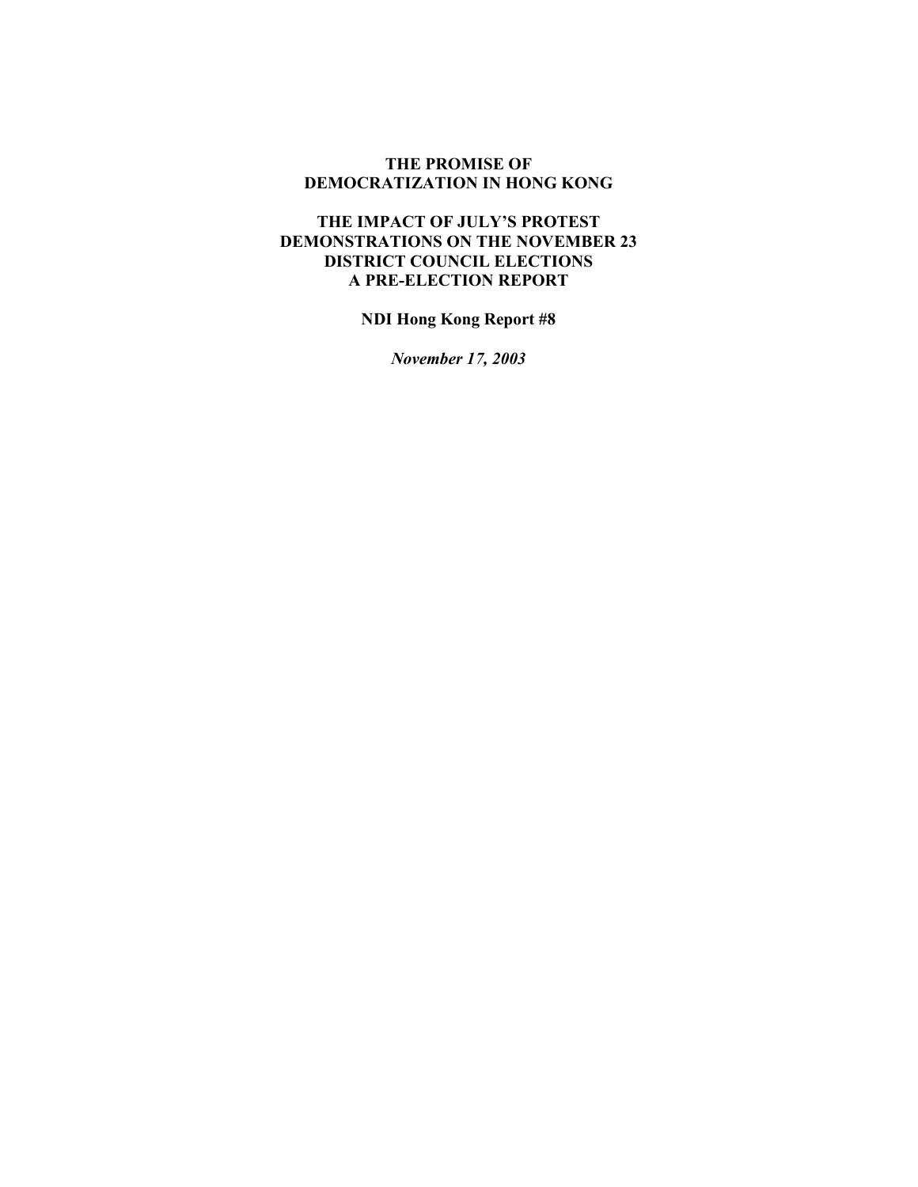#### **THE PROMISE OF DEMOCRATIZATION IN HONG KONG**

#### **THE IMPACT OF JULY'S PROTEST DEMONSTRATIONS ON THE NOVEMBER 23 DISTRICT COUNCIL ELECTIONS A PRE-ELECTION REPORT**

**NDI Hong Kong Report #8** 

*November 17, 2003*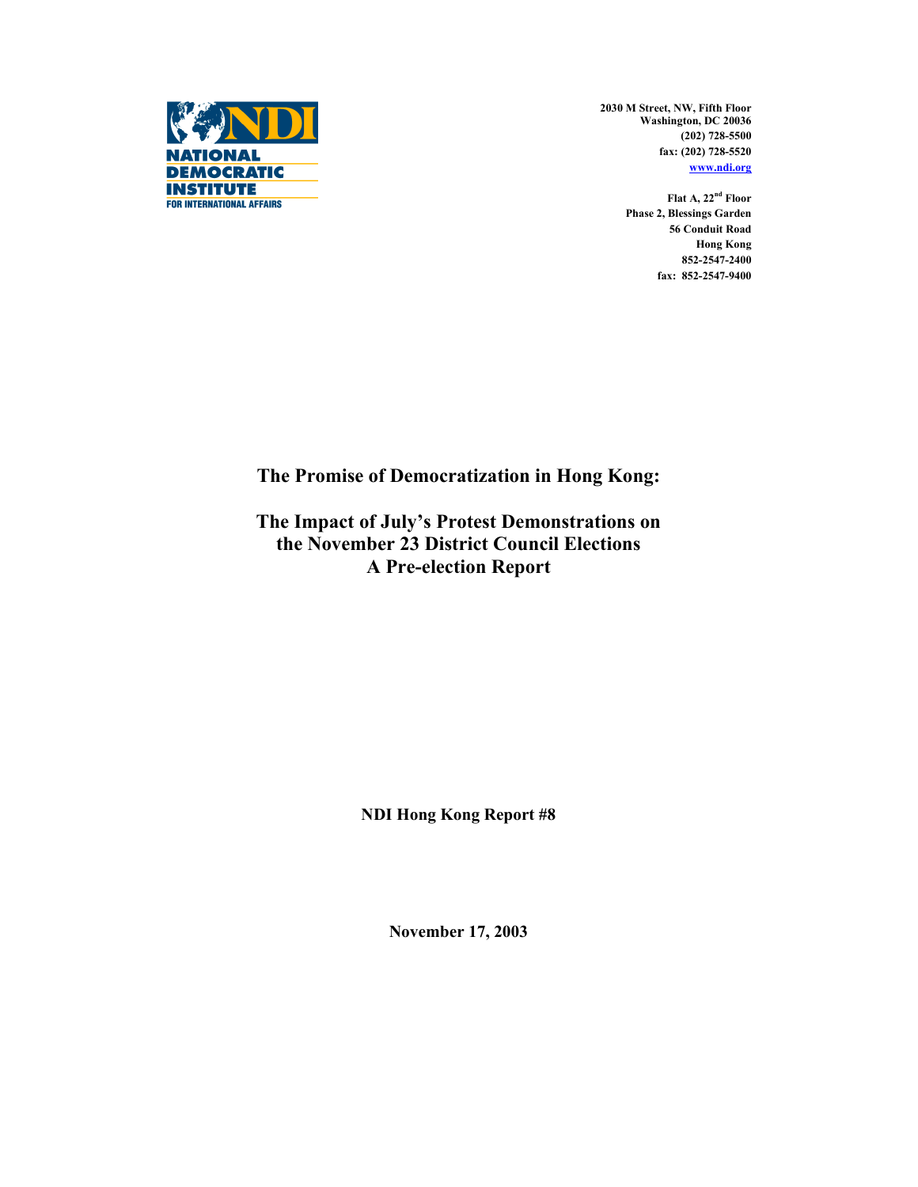

**2030 M Street, NW, Fifth Floor Washington, DC 20036 (202) 728-5500 fax: (202) 728-5520 www.ndi.org**

> **Flat A, 22nd Floor Phase 2, Blessings Garden 56 Conduit Road Hong Kong 852-2547-2400 fax: 852-2547-9400**

**The Promise of Democratization in Hong Kong:** 

**The Impact of July's Protest Demonstrations on the November 23 District Council Elections A Pre-election Report** 

**NDI Hong Kong Report #8** 

**November 17, 2003**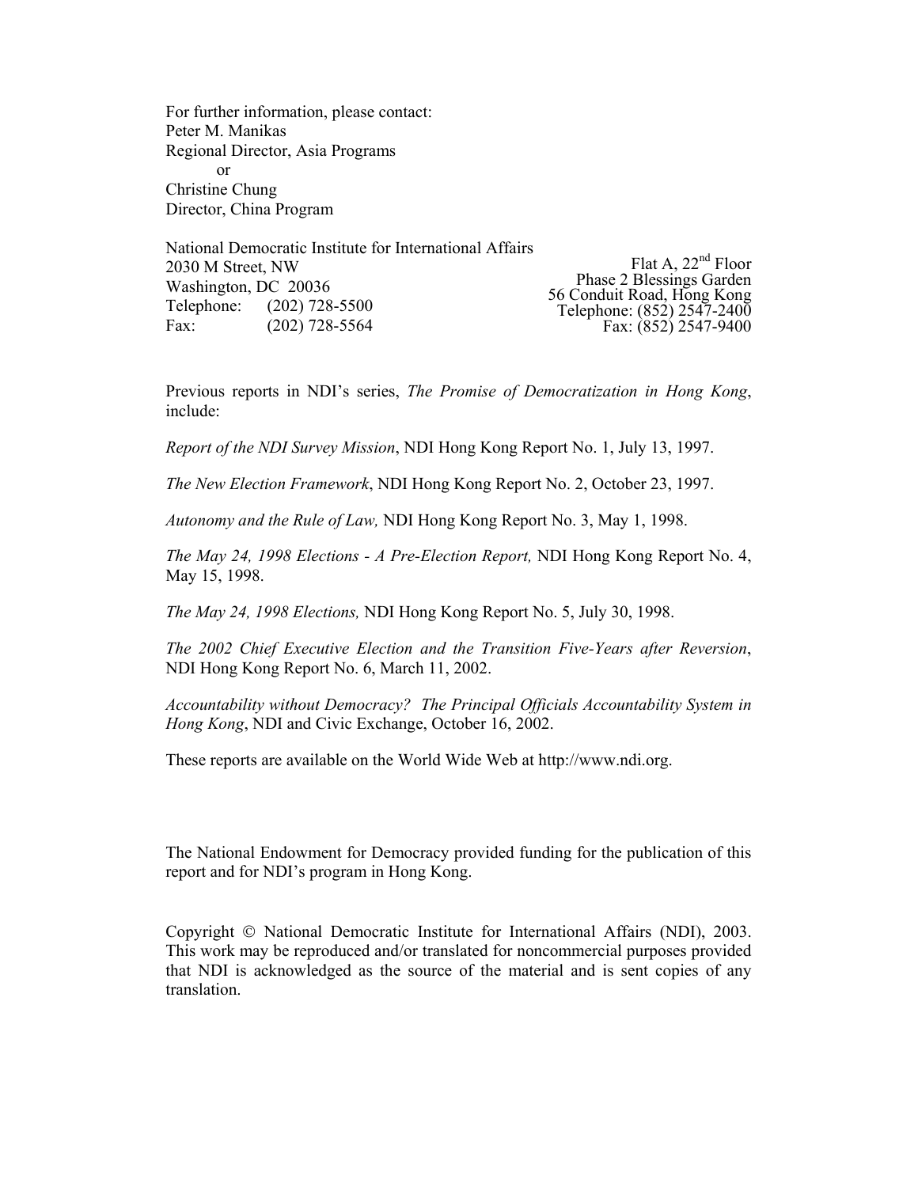For further information, please contact: Peter M. Manikas Regional Director, Asia Programs or Christine Chung Director, China Program

National Democratic Institute for International Affairs 2030 M Street, NW Washington, DC 20036 Telephone: (202) 728-5500 Fax: (202) 728-5564

Flat A, 22<sup>nd</sup> Floor Phase 2 Blessings Garden 56 Conduit Road, Hong Kong Telephone: (852) 2547-2400 Fax: (852) 2547-9400

Previous reports in NDI's series, *The Promise of Democratization in Hong Kong*, include:

*Report of the NDI Survey Mission*, NDI Hong Kong Report No. 1, July 13, 1997.

*The New Election Framework*, NDI Hong Kong Report No. 2, October 23, 1997.

*Autonomy and the Rule of Law,* NDI Hong Kong Report No. 3, May 1, 1998.

*The May 24, 1998 Elections - A Pre-Election Report,* NDI Hong Kong Report No. 4, May 15, 1998.

*The May 24, 1998 Elections,* NDI Hong Kong Report No. 5, July 30, 1998.

*The 2002 Chief Executive Election and the Transition Five-Years after Reversion*, NDI Hong Kong Report No. 6, March 11, 2002.

*Accountability without Democracy? The Principal Officials Accountability System in Hong Kong*, NDI and Civic Exchange, October 16, 2002.

These reports are available on the World Wide Web at http://www.ndi.org.

The National Endowment for Democracy provided funding for the publication of this report and for NDI's program in Hong Kong.

Copyright  $\odot$  National Democratic Institute for International Affairs (NDI), 2003. This work may be reproduced and/or translated for noncommercial purposes provided that NDI is acknowledged as the source of the material and is sent copies of any translation.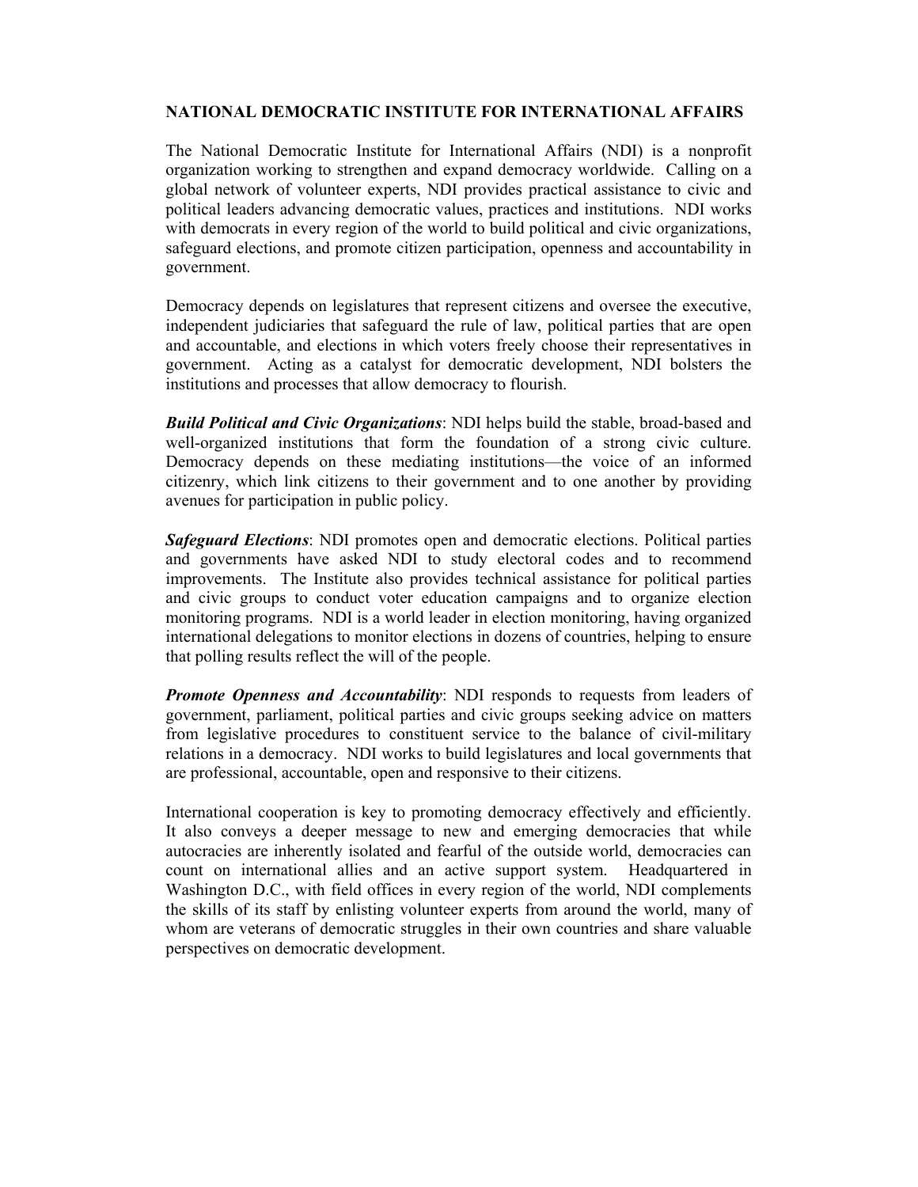#### **NATIONAL DEMOCRATIC INSTITUTE FOR INTERNATIONAL AFFAIRS**

The National Democratic Institute for International Affairs (NDI) is a nonprofit organization working to strengthen and expand democracy worldwide. Calling on a global network of volunteer experts, NDI provides practical assistance to civic and political leaders advancing democratic values, practices and institutions. NDI works with democrats in every region of the world to build political and civic organizations, safeguard elections, and promote citizen participation, openness and accountability in government.

Democracy depends on legislatures that represent citizens and oversee the executive, independent judiciaries that safeguard the rule of law, political parties that are open and accountable, and elections in which voters freely choose their representatives in government. Acting as a catalyst for democratic development, NDI bolsters the institutions and processes that allow democracy to flourish.

*Build Political and Civic Organizations*: NDI helps build the stable, broad-based and well-organized institutions that form the foundation of a strong civic culture. Democracy depends on these mediating institutions—the voice of an informed citizenry, which link citizens to their government and to one another by providing avenues for participation in public policy.

*Safeguard Elections*: NDI promotes open and democratic elections. Political parties and governments have asked NDI to study electoral codes and to recommend improvements. The Institute also provides technical assistance for political parties and civic groups to conduct voter education campaigns and to organize election monitoring programs. NDI is a world leader in election monitoring, having organized international delegations to monitor elections in dozens of countries, helping to ensure that polling results reflect the will of the people.

*Promote Openness and Accountability*: NDI responds to requests from leaders of government, parliament, political parties and civic groups seeking advice on matters from legislative procedures to constituent service to the balance of civil-military relations in a democracy. NDI works to build legislatures and local governments that are professional, accountable, open and responsive to their citizens.

International cooperation is key to promoting democracy effectively and efficiently. It also conveys a deeper message to new and emerging democracies that while autocracies are inherently isolated and fearful of the outside world, democracies can count on international allies and an active support system. Headquartered in Washington D.C., with field offices in every region of the world, NDI complements the skills of its staff by enlisting volunteer experts from around the world, many of whom are veterans of democratic struggles in their own countries and share valuable perspectives on democratic development.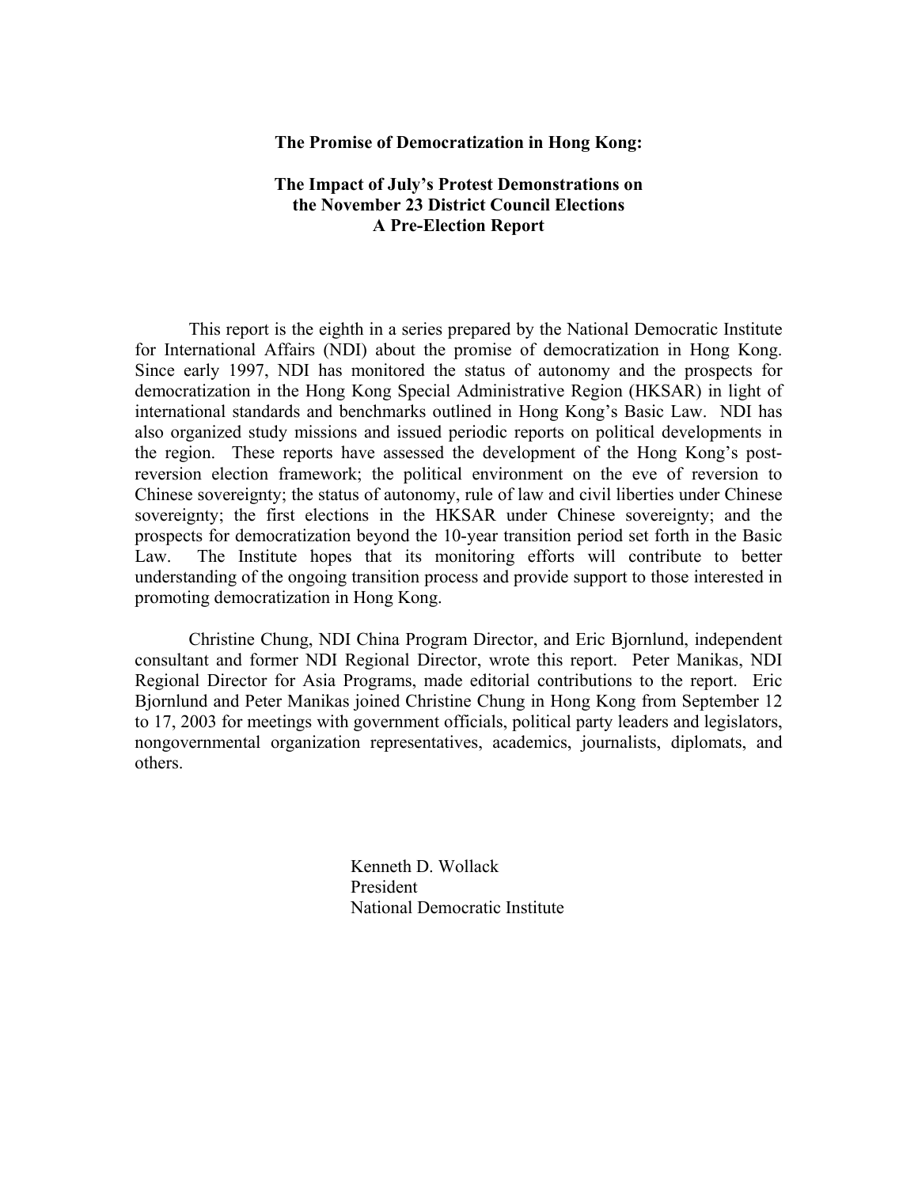#### **The Promise of Democratization in Hong Kong:**

#### **The Impact of July's Protest Demonstrations on the November 23 District Council Elections A Pre-Election Report**

 This report is the eighth in a series prepared by the National Democratic Institute for International Affairs (NDI) about the promise of democratization in Hong Kong. Since early 1997, NDI has monitored the status of autonomy and the prospects for democratization in the Hong Kong Special Administrative Region (HKSAR) in light of international standards and benchmarks outlined in Hong Kong's Basic Law. NDI has also organized study missions and issued periodic reports on political developments in the region. These reports have assessed the development of the Hong Kong's postreversion election framework; the political environment on the eve of reversion to Chinese sovereignty; the status of autonomy, rule of law and civil liberties under Chinese sovereignty; the first elections in the HKSAR under Chinese sovereignty; and the prospects for democratization beyond the 10-year transition period set forth in the Basic Law. The Institute hopes that its monitoring efforts will contribute to better understanding of the ongoing transition process and provide support to those interested in promoting democratization in Hong Kong.

 Christine Chung, NDI China Program Director, and Eric Bjornlund, independent consultant and former NDI Regional Director, wrote this report. Peter Manikas, NDI Regional Director for Asia Programs, made editorial contributions to the report. Eric Bjornlund and Peter Manikas joined Christine Chung in Hong Kong from September 12 to 17, 2003 for meetings with government officials, political party leaders and legislators, nongovernmental organization representatives, academics, journalists, diplomats, and others.

> Kenneth D. Wollack President National Democratic Institute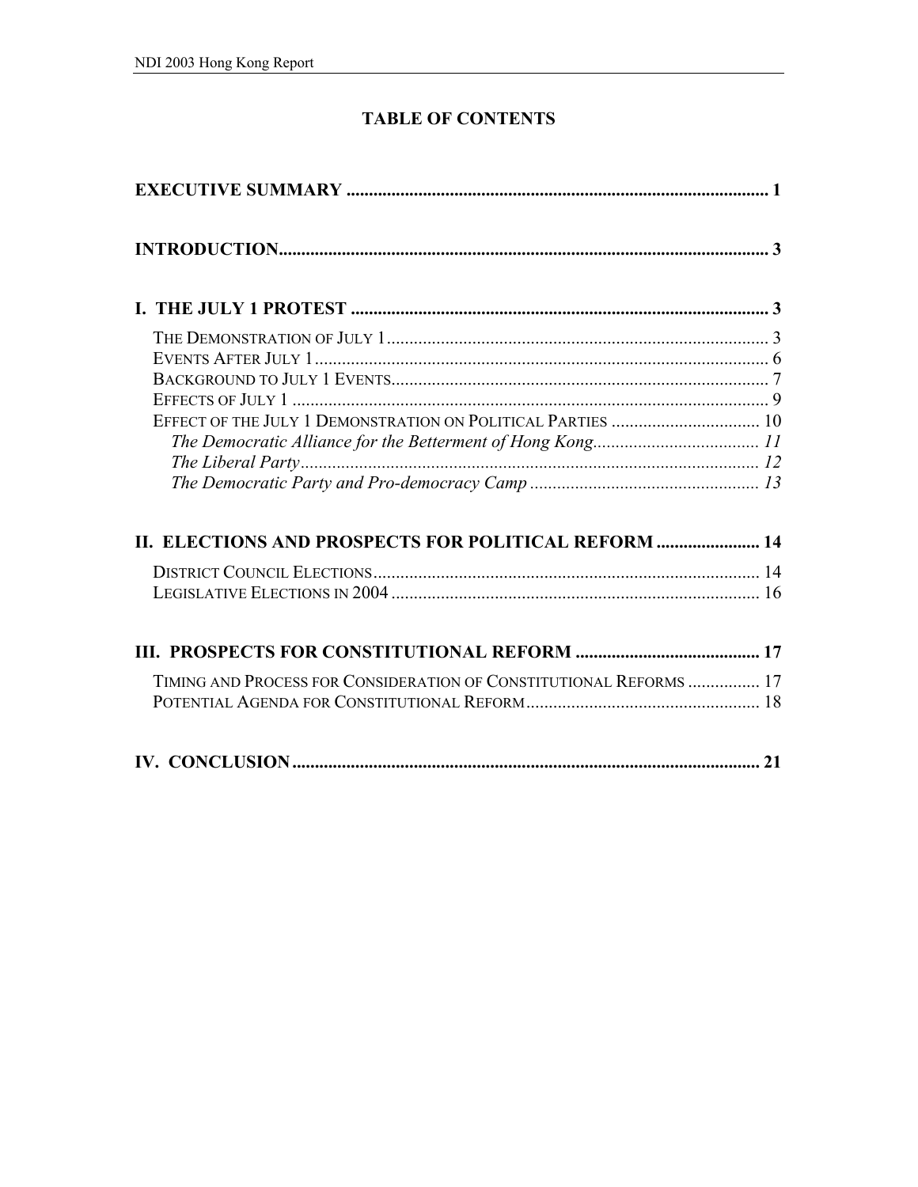# **TABLE OF CONTENTS**

| II. ELECTIONS AND PROSPECTS FOR POLITICAL REFORM  14               |  |
|--------------------------------------------------------------------|--|
|                                                                    |  |
|                                                                    |  |
|                                                                    |  |
| TIMING AND PROCESS FOR CONSIDERATION OF CONSTITUTIONAL REFORMS  17 |  |
|                                                                    |  |
|                                                                    |  |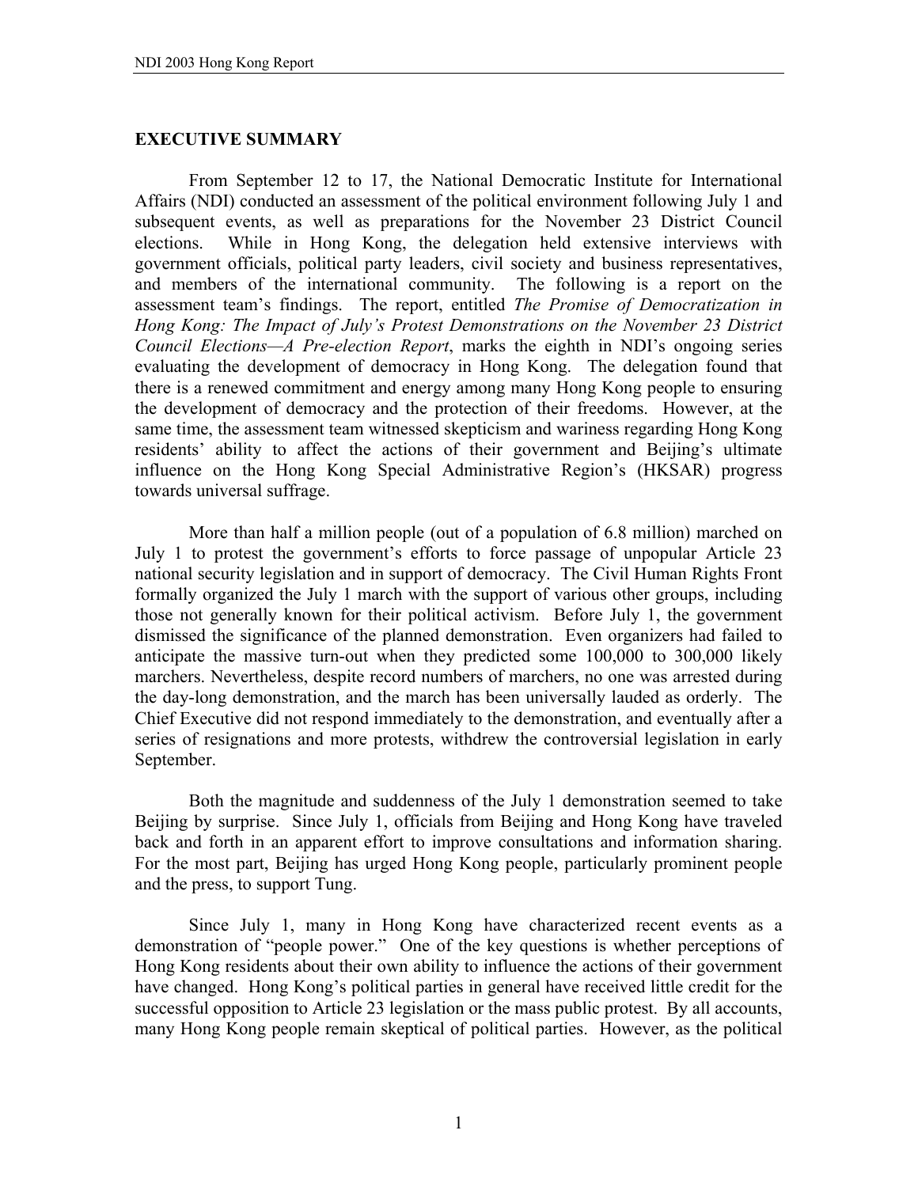# **EXECUTIVE SUMMARY**

 From September 12 to 17, the National Democratic Institute for International Affairs (NDI) conducted an assessment of the political environment following July 1 and subsequent events, as well as preparations for the November 23 District Council elections. While in Hong Kong, the delegation held extensive interviews with government officials, political party leaders, civil society and business representatives, and members of the international community. The following is a report on the assessment team's findings. The report, entitled *The Promise of Democratization in Hong Kong: The Impact of July's Protest Demonstrations on the November 23 District Council Elections—A Pre-election Report*, marks the eighth in NDI's ongoing series evaluating the development of democracy in Hong Kong. The delegation found that there is a renewed commitment and energy among many Hong Kong people to ensuring the development of democracy and the protection of their freedoms. However, at the same time, the assessment team witnessed skepticism and wariness regarding Hong Kong residents' ability to affect the actions of their government and Beijing's ultimate influence on the Hong Kong Special Administrative Region's (HKSAR) progress towards universal suffrage.

More than half a million people (out of a population of 6.8 million) marched on July 1 to protest the government's efforts to force passage of unpopular Article 23 national security legislation and in support of democracy. The Civil Human Rights Front formally organized the July 1 march with the support of various other groups, including those not generally known for their political activism. Before July 1, the government dismissed the significance of the planned demonstration. Even organizers had failed to anticipate the massive turn-out when they predicted some 100,000 to 300,000 likely marchers. Nevertheless, despite record numbers of marchers, no one was arrested during the day-long demonstration, and the march has been universally lauded as orderly. The Chief Executive did not respond immediately to the demonstration, and eventually after a series of resignations and more protests, withdrew the controversial legislation in early September.

 Both the magnitude and suddenness of the July 1 demonstration seemed to take Beijing by surprise. Since July 1, officials from Beijing and Hong Kong have traveled back and forth in an apparent effort to improve consultations and information sharing. For the most part, Beijing has urged Hong Kong people, particularly prominent people and the press, to support Tung.

Since July 1, many in Hong Kong have characterized recent events as a demonstration of "people power." One of the key questions is whether perceptions of Hong Kong residents about their own ability to influence the actions of their government have changed. Hong Kong's political parties in general have received little credit for the successful opposition to Article 23 legislation or the mass public protest. By all accounts, many Hong Kong people remain skeptical of political parties. However, as the political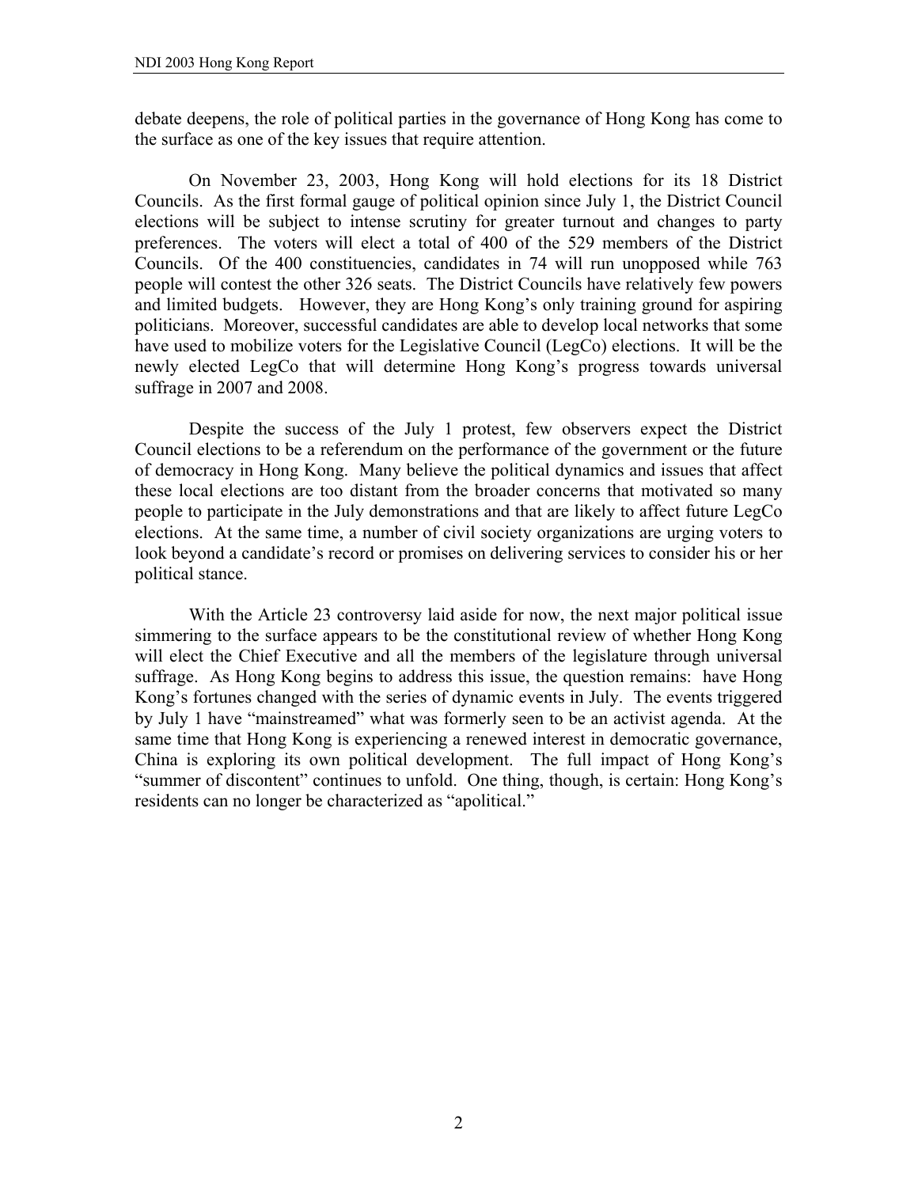debate deepens, the role of political parties in the governance of Hong Kong has come to the surface as one of the key issues that require attention.

 On November 23, 2003, Hong Kong will hold elections for its 18 District Councils. As the first formal gauge of political opinion since July 1, the District Council elections will be subject to intense scrutiny for greater turnout and changes to party preferences. The voters will elect a total of 400 of the 529 members of the District Councils. Of the 400 constituencies, candidates in 74 will run unopposed while 763 people will contest the other 326 seats. The District Councils have relatively few powers and limited budgets. However, they are Hong Kong's only training ground for aspiring politicians. Moreover, successful candidates are able to develop local networks that some have used to mobilize voters for the Legislative Council (LegCo) elections. It will be the newly elected LegCo that will determine Hong Kong's progress towards universal suffrage in 2007 and 2008.

 Despite the success of the July 1 protest, few observers expect the District Council elections to be a referendum on the performance of the government or the future of democracy in Hong Kong. Many believe the political dynamics and issues that affect these local elections are too distant from the broader concerns that motivated so many people to participate in the July demonstrations and that are likely to affect future LegCo elections. At the same time, a number of civil society organizations are urging voters to look beyond a candidate's record or promises on delivering services to consider his or her political stance.

 With the Article 23 controversy laid aside for now, the next major political issue simmering to the surface appears to be the constitutional review of whether Hong Kong will elect the Chief Executive and all the members of the legislature through universal suffrage. As Hong Kong begins to address this issue, the question remains: have Hong Kong's fortunes changed with the series of dynamic events in July. The events triggered by July 1 have "mainstreamed" what was formerly seen to be an activist agenda. At the same time that Hong Kong is experiencing a renewed interest in democratic governance, China is exploring its own political development. The full impact of Hong Kong's "summer of discontent" continues to unfold. One thing, though, is certain: Hong Kong's residents can no longer be characterized as "apolitical."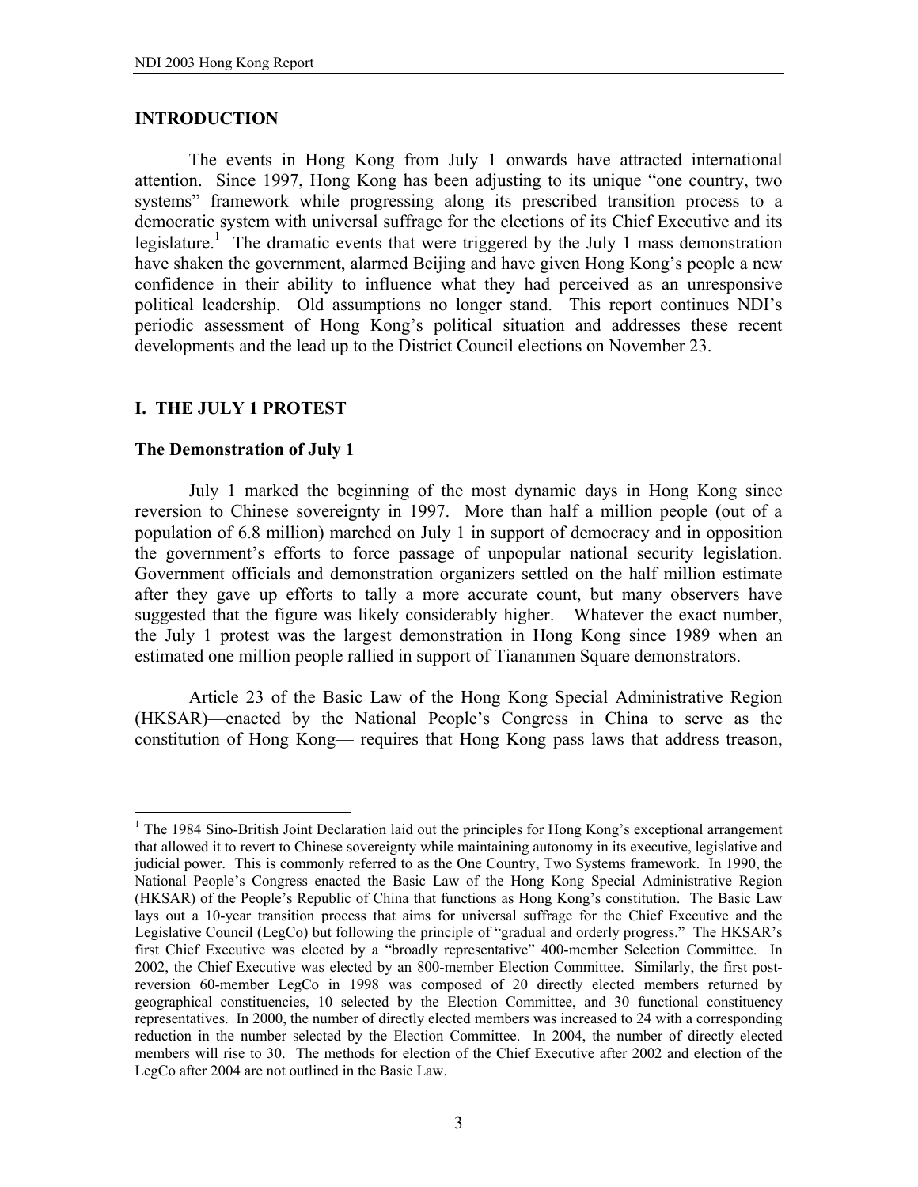#### **INTRODUCTION**

 The events in Hong Kong from July 1 onwards have attracted international attention. Since 1997, Hong Kong has been adjusting to its unique "one country, two systems" framework while progressing along its prescribed transition process to a democratic system with universal suffrage for the elections of its Chief Executive and its legislature.<sup>1</sup> The dramatic events that were triggered by the July 1 mass demonstration have shaken the government, alarmed Beijing and have given Hong Kong's people a new confidence in their ability to influence what they had perceived as an unresponsive political leadership. Old assumptions no longer stand. This report continues NDI's periodic assessment of Hong Kong's political situation and addresses these recent developments and the lead up to the District Council elections on November 23.

# **I. THE JULY 1 PROTEST**

#### **The Demonstration of July 1**

 $\overline{a}$ 

 July 1 marked the beginning of the most dynamic days in Hong Kong since reversion to Chinese sovereignty in 1997. More than half a million people (out of a population of 6.8 million) marched on July 1 in support of democracy and in opposition the government's efforts to force passage of unpopular national security legislation. Government officials and demonstration organizers settled on the half million estimate after they gave up efforts to tally a more accurate count, but many observers have suggested that the figure was likely considerably higher. Whatever the exact number, the July 1 protest was the largest demonstration in Hong Kong since 1989 when an estimated one million people rallied in support of Tiananmen Square demonstrators.

 Article 23 of the Basic Law of the Hong Kong Special Administrative Region (HKSAR)—enacted by the National People's Congress in China to serve as the constitution of Hong Kong— requires that Hong Kong pass laws that address treason,

<sup>&</sup>lt;sup>1</sup> The 1984 Sino-British Joint Declaration laid out the principles for Hong Kong's exceptional arrangement that allowed it to revert to Chinese sovereignty while maintaining autonomy in its executive, legislative and judicial power. This is commonly referred to as the One Country, Two Systems framework. In 1990, the National People's Congress enacted the Basic Law of the Hong Kong Special Administrative Region (HKSAR) of the People's Republic of China that functions as Hong Kong's constitution. The Basic Law lays out a 10-year transition process that aims for universal suffrage for the Chief Executive and the Legislative Council (LegCo) but following the principle of "gradual and orderly progress." The HKSAR's first Chief Executive was elected by a "broadly representative" 400-member Selection Committee. In 2002, the Chief Executive was elected by an 800-member Election Committee. Similarly, the first postreversion 60-member LegCo in 1998 was composed of 20 directly elected members returned by geographical constituencies, 10 selected by the Election Committee, and 30 functional constituency representatives. In 2000, the number of directly elected members was increased to 24 with a corresponding reduction in the number selected by the Election Committee. In 2004, the number of directly elected members will rise to 30. The methods for election of the Chief Executive after 2002 and election of the LegCo after 2004 are not outlined in the Basic Law.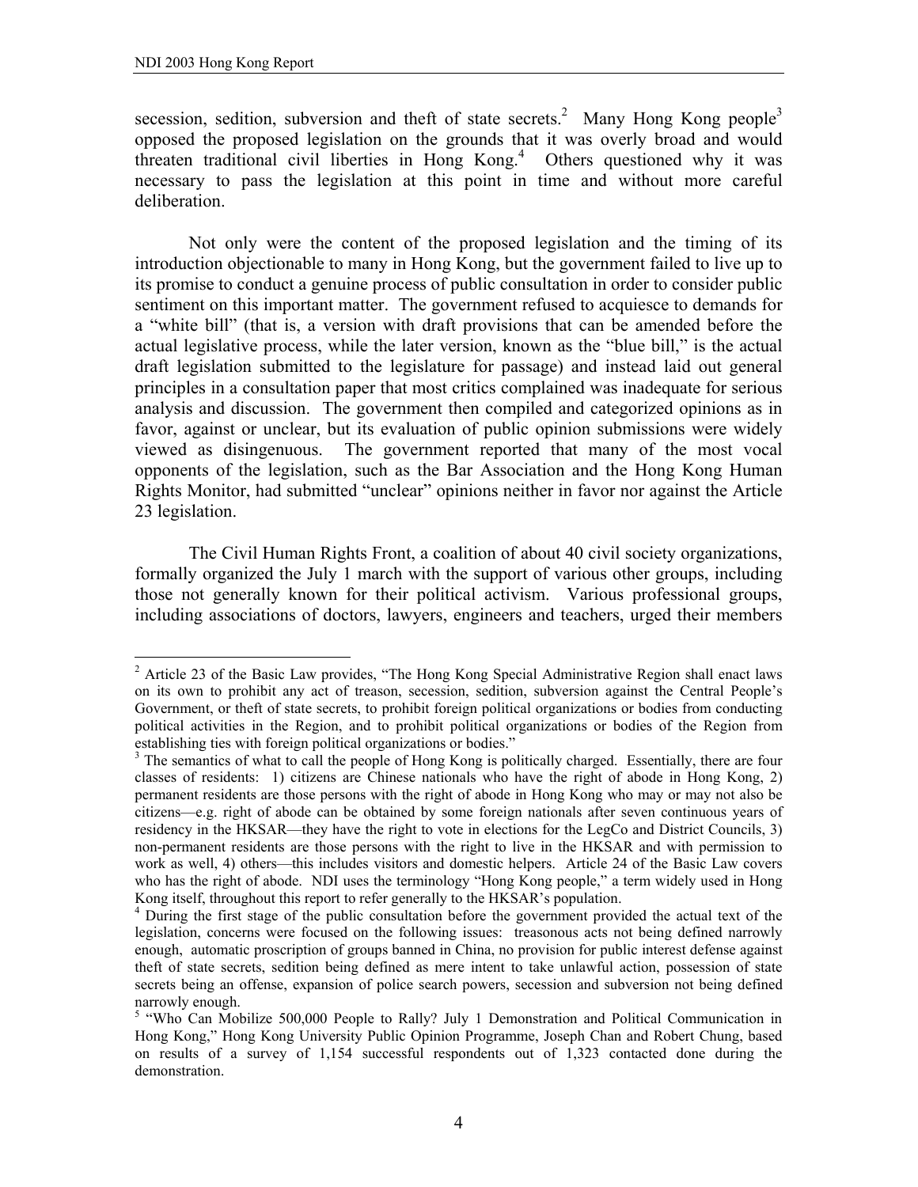1

secession, sedition, subversion and theft of state secrets.<sup>2</sup> Many Hong Kong people<sup>3</sup> opposed the proposed legislation on the grounds that it was overly broad and would threaten traditional civil liberties in Hong Kong.<sup>4</sup> Others questioned why it was necessary to pass the legislation at this point in time and without more careful deliberation.

 Not only were the content of the proposed legislation and the timing of its introduction objectionable to many in Hong Kong, but the government failed to live up to its promise to conduct a genuine process of public consultation in order to consider public sentiment on this important matter. The government refused to acquiesce to demands for a "white bill" (that is, a version with draft provisions that can be amended before the actual legislative process, while the later version, known as the "blue bill," is the actual draft legislation submitted to the legislature for passage) and instead laid out general principles in a consultation paper that most critics complained was inadequate for serious analysis and discussion. The government then compiled and categorized opinions as in favor, against or unclear, but its evaluation of public opinion submissions were widely viewed as disingenuous. The government reported that many of the most vocal opponents of the legislation, such as the Bar Association and the Hong Kong Human Rights Monitor, had submitted "unclear" opinions neither in favor nor against the Article 23 legislation.

 The Civil Human Rights Front, a coalition of about 40 civil society organizations, formally organized the July 1 march with the support of various other groups, including those not generally known for their political activism. Various professional groups, including associations of doctors, lawyers, engineers and teachers, urged their members

<sup>&</sup>lt;sup>2</sup> Article 23 of the Basic Law provides, "The Hong Kong Special Administrative Region shall enact laws on its own to prohibit any act of treason, secession, sedition, subversion against the Central People's Government, or theft of state secrets, to prohibit foreign political organizations or bodies from conducting political activities in the Region, and to prohibit political organizations or bodies of the Region from establishing ties with foreign political organizations or bodies."

<sup>&</sup>lt;sup>3</sup> The semantics of what to call the people of Hong Kong is politically charged. Essentially, there are four classes of residents: 1) citizens are Chinese nationals who have the right of abode in Hong Kong, 2) permanent residents are those persons with the right of abode in Hong Kong who may or may not also be citizens—e.g. right of abode can be obtained by some foreign nationals after seven continuous years of residency in the HKSAR—they have the right to vote in elections for the LegCo and District Councils, 3) non-permanent residents are those persons with the right to live in the HKSAR and with permission to work as well, 4) others—this includes visitors and domestic helpers. Article 24 of the Basic Law covers who has the right of abode. NDI uses the terminology "Hong Kong people," a term widely used in Hong Kong itself, throughout this report to refer generally to the HKSAR's population.

<sup>&</sup>lt;sup>4</sup> During the first stage of the public consultation before the government provided the actual text of the legislation, concerns were focused on the following issues: treasonous acts not being defined narrowly enough, automatic proscription of groups banned in China, no provision for public interest defense against theft of state secrets, sedition being defined as mere intent to take unlawful action, possession of state secrets being an offense, expansion of police search powers, secession and subversion not being defined narrowly enough.

<sup>&</sup>lt;sup>5</sup> "Who Can Mobilize 500,000 People to Rally? July 1 Demonstration and Political Communication in Hong Kong," Hong Kong University Public Opinion Programme, Joseph Chan and Robert Chung, based on results of a survey of 1,154 successful respondents out of 1,323 contacted done during the demonstration.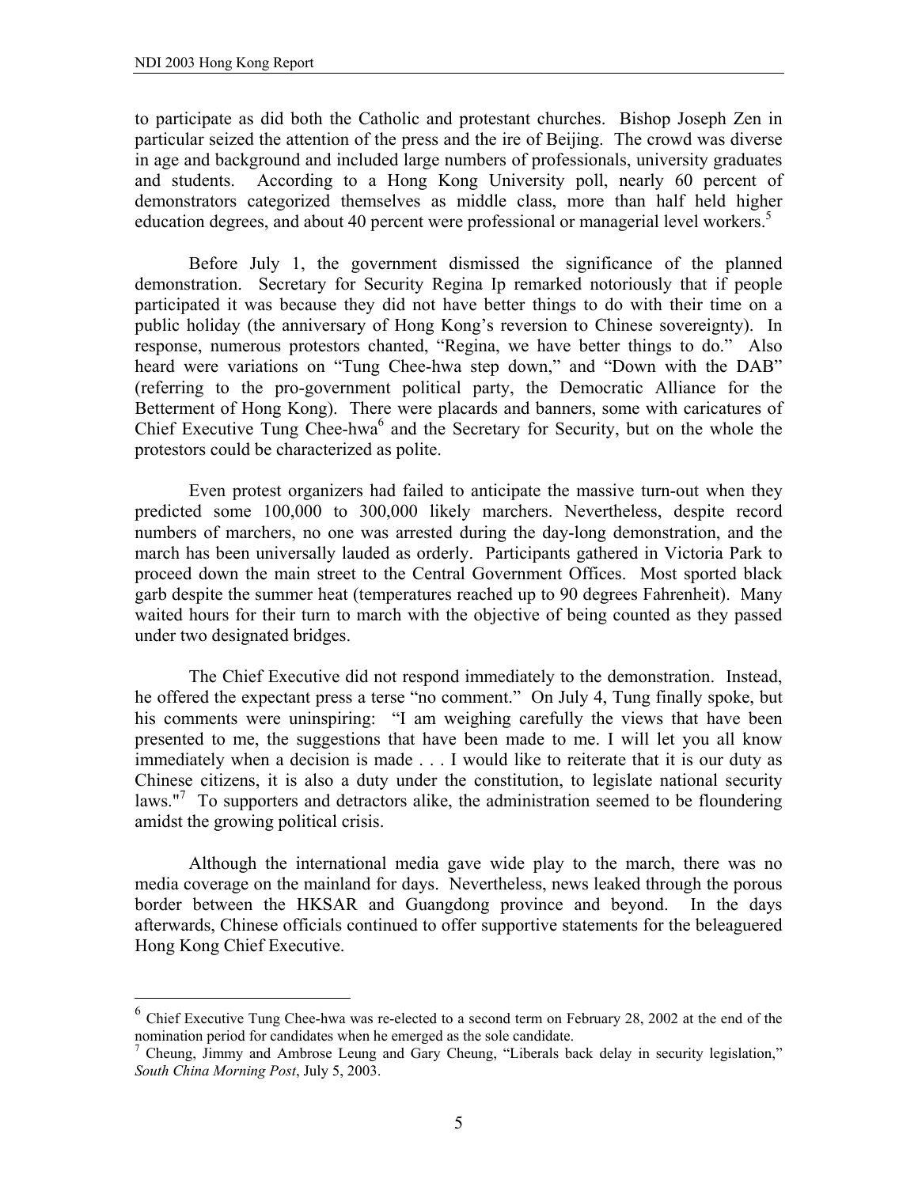$\overline{a}$ 

to participate as did both the Catholic and protestant churches. Bishop Joseph Zen in particular seized the attention of the press and the ire of Beijing. The crowd was diverse in age and background and included large numbers of professionals, university graduates and students. According to a Hong Kong University poll, nearly 60 percent of demonstrators categorized themselves as middle class, more than half held higher education degrees, and about 40 percent were professional or managerial level workers.<sup>5</sup>

 Before July 1, the government dismissed the significance of the planned demonstration. Secretary for Security Regina Ip remarked notoriously that if people participated it was because they did not have better things to do with their time on a public holiday (the anniversary of Hong Kong's reversion to Chinese sovereignty). In response, numerous protestors chanted, "Regina, we have better things to do." Also heard were variations on "Tung Chee-hwa step down," and "Down with the DAB" (referring to the pro-government political party, the Democratic Alliance for the Betterment of Hong Kong). There were placards and banners, some with caricatures of Chief Executive Tung Chee-hwa<sup>6</sup> and the Secretary for Security, but on the whole the protestors could be characterized as polite.

 Even protest organizers had failed to anticipate the massive turn-out when they predicted some 100,000 to 300,000 likely marchers. Nevertheless, despite record numbers of marchers, no one was arrested during the day-long demonstration, and the march has been universally lauded as orderly. Participants gathered in Victoria Park to proceed down the main street to the Central Government Offices. Most sported black garb despite the summer heat (temperatures reached up to 90 degrees Fahrenheit). Many waited hours for their turn to march with the objective of being counted as they passed under two designated bridges.

 The Chief Executive did not respond immediately to the demonstration. Instead, he offered the expectant press a terse "no comment." On July 4, Tung finally spoke, but his comments were uninspiring: "I am weighing carefully the views that have been presented to me, the suggestions that have been made to me. I will let you all know immediately when a decision is made . . . I would like to reiterate that it is our duty as Chinese citizens, it is also a duty under the constitution, to legislate national security laws."<sup>7</sup> To supporters and detractors alike, the administration seemed to be floundering amidst the growing political crisis.

 Although the international media gave wide play to the march, there was no media coverage on the mainland for days. Nevertheless, news leaked through the porous border between the HKSAR and Guangdong province and beyond. In the days afterwards, Chinese officials continued to offer supportive statements for the beleaguered Hong Kong Chief Executive.

 $6$  Chief Executive Tung Chee-hwa was re-elected to a second term on February 28, 2002 at the end of the nomination period for candidates when he emerged as the sole candidate.

<sup>&</sup>lt;sup>7</sup> Cheung, Jimmy and Ambrose Leung and Gary Cheung, "Liberals back delay in security legislation," *South China Morning Post*, July 5, 2003.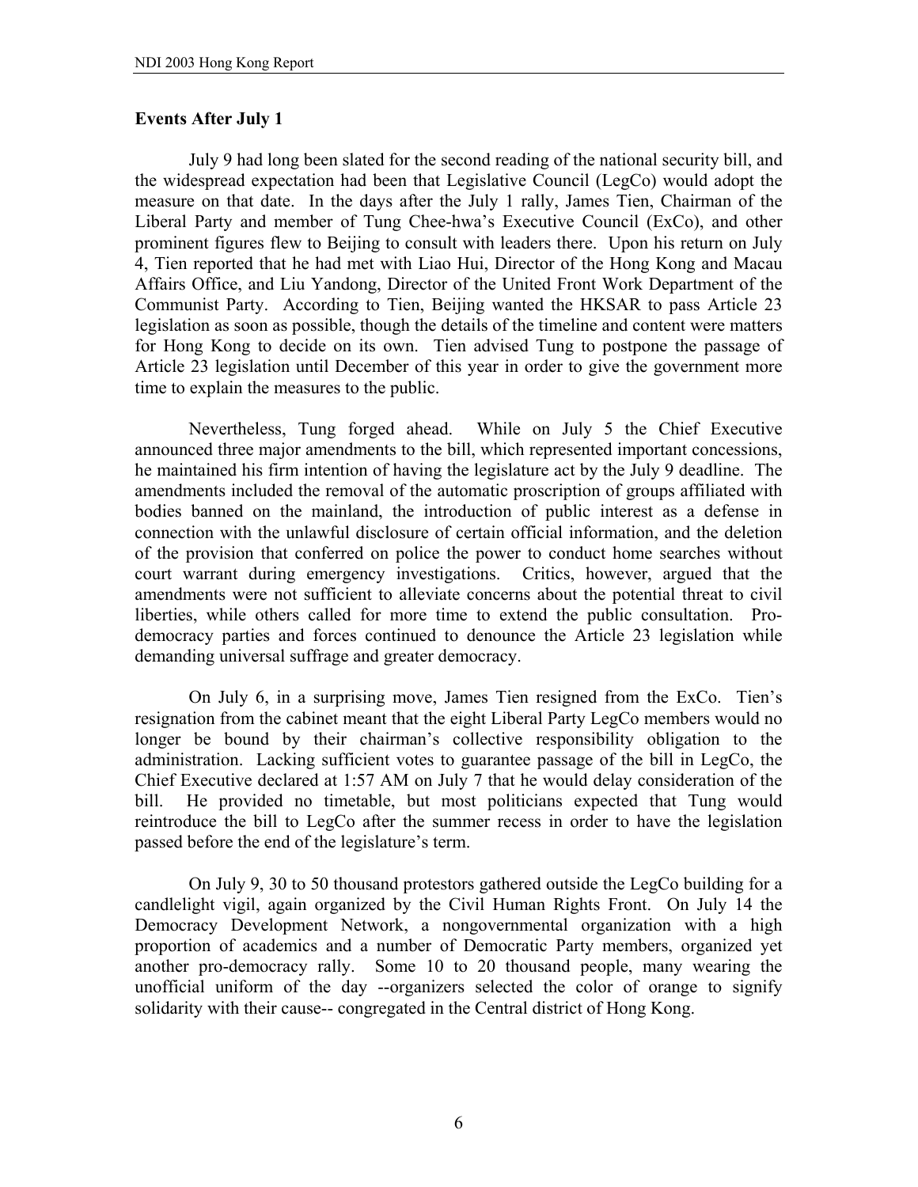# **Events After July 1**

 July 9 had long been slated for the second reading of the national security bill, and the widespread expectation had been that Legislative Council (LegCo) would adopt the measure on that date. In the days after the July 1 rally, James Tien, Chairman of the Liberal Party and member of Tung Chee-hwa's Executive Council (ExCo), and other prominent figures flew to Beijing to consult with leaders there. Upon his return on July 4, Tien reported that he had met with Liao Hui, Director of the Hong Kong and Macau Affairs Office, and Liu Yandong, Director of the United Front Work Department of the Communist Party. According to Tien, Beijing wanted the HKSAR to pass Article 23 legislation as soon as possible, though the details of the timeline and content were matters for Hong Kong to decide on its own. Tien advised Tung to postpone the passage of Article 23 legislation until December of this year in order to give the government more time to explain the measures to the public.

 Nevertheless, Tung forged ahead. While on July 5 the Chief Executive announced three major amendments to the bill, which represented important concessions, he maintained his firm intention of having the legislature act by the July 9 deadline. The amendments included the removal of the automatic proscription of groups affiliated with bodies banned on the mainland, the introduction of public interest as a defense in connection with the unlawful disclosure of certain official information, and the deletion of the provision that conferred on police the power to conduct home searches without court warrant during emergency investigations. Critics, however, argued that the amendments were not sufficient to alleviate concerns about the potential threat to civil liberties, while others called for more time to extend the public consultation. Prodemocracy parties and forces continued to denounce the Article 23 legislation while demanding universal suffrage and greater democracy.

 On July 6, in a surprising move, James Tien resigned from the ExCo. Tien's resignation from the cabinet meant that the eight Liberal Party LegCo members would no longer be bound by their chairman's collective responsibility obligation to the administration. Lacking sufficient votes to guarantee passage of the bill in LegCo, the Chief Executive declared at 1:57 AM on July 7 that he would delay consideration of the bill. He provided no timetable, but most politicians expected that Tung would reintroduce the bill to LegCo after the summer recess in order to have the legislation passed before the end of the legislature's term.

On July 9, 30 to 50 thousand protestors gathered outside the LegCo building for a candlelight vigil, again organized by the Civil Human Rights Front. On July 14 the Democracy Development Network, a nongovernmental organization with a high proportion of academics and a number of Democratic Party members, organized yet another pro-democracy rally. Some 10 to 20 thousand people, many wearing the unofficial uniform of the day --organizers selected the color of orange to signify solidarity with their cause-- congregated in the Central district of Hong Kong.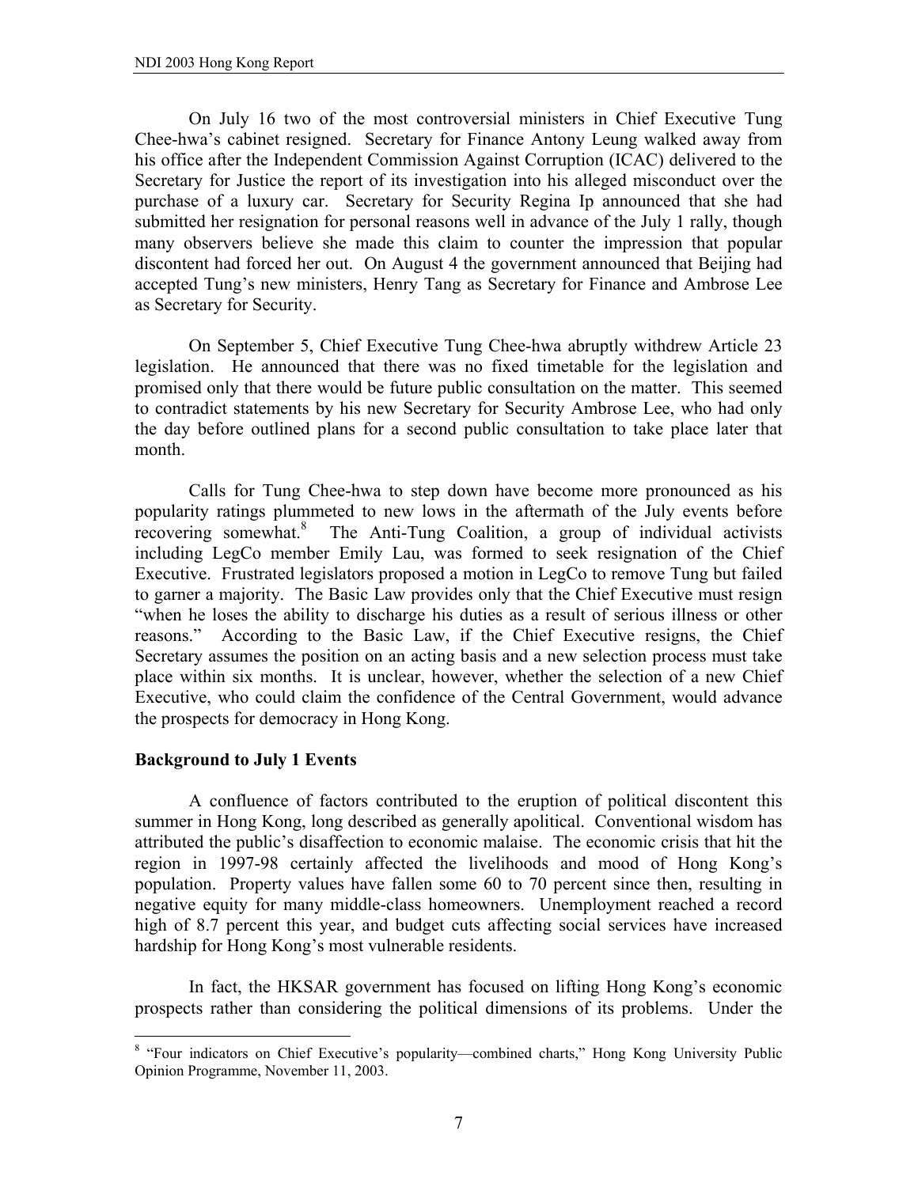On July 16 two of the most controversial ministers in Chief Executive Tung Chee-hwa's cabinet resigned. Secretary for Finance Antony Leung walked away from his office after the Independent Commission Against Corruption (ICAC) delivered to the Secretary for Justice the report of its investigation into his alleged misconduct over the purchase of a luxury car. Secretary for Security Regina Ip announced that she had submitted her resignation for personal reasons well in advance of the July 1 rally, though many observers believe she made this claim to counter the impression that popular discontent had forced her out. On August 4 the government announced that Beijing had accepted Tung's new ministers, Henry Tang as Secretary for Finance and Ambrose Lee as Secretary for Security.

 On September 5, Chief Executive Tung Chee-hwa abruptly withdrew Article 23 legislation. He announced that there was no fixed timetable for the legislation and promised only that there would be future public consultation on the matter. This seemed to contradict statements by his new Secretary for Security Ambrose Lee, who had only the day before outlined plans for a second public consultation to take place later that month.

 Calls for Tung Chee-hwa to step down have become more pronounced as his popularity ratings plummeted to new lows in the aftermath of the July events before recovering somewhat.8 The Anti-Tung Coalition, a group of individual activists including LegCo member Emily Lau, was formed to seek resignation of the Chief Executive. Frustrated legislators proposed a motion in LegCo to remove Tung but failed to garner a majority. The Basic Law provides only that the Chief Executive must resign "when he loses the ability to discharge his duties as a result of serious illness or other reasons." According to the Basic Law, if the Chief Executive resigns, the Chief Secretary assumes the position on an acting basis and a new selection process must take place within six months. It is unclear, however, whether the selection of a new Chief Executive, who could claim the confidence of the Central Government, would advance the prospects for democracy in Hong Kong.

# **Background to July 1 Events**

 A confluence of factors contributed to the eruption of political discontent this summer in Hong Kong, long described as generally apolitical. Conventional wisdom has attributed the public's disaffection to economic malaise. The economic crisis that hit the region in 1997-98 certainly affected the livelihoods and mood of Hong Kong's population. Property values have fallen some 60 to 70 percent since then, resulting in negative equity for many middle-class homeowners. Unemployment reached a record high of 8.7 percent this year, and budget cuts affecting social services have increased hardship for Hong Kong's most vulnerable residents.

 In fact, the HKSAR government has focused on lifting Hong Kong's economic prospects rather than considering the political dimensions of its problems. Under the

<sup>&</sup>lt;sup>8</sup> "Four indicators on Chief Executive's popularity—combined charts," Hong Kong University Public Opinion Programme, November 11, 2003.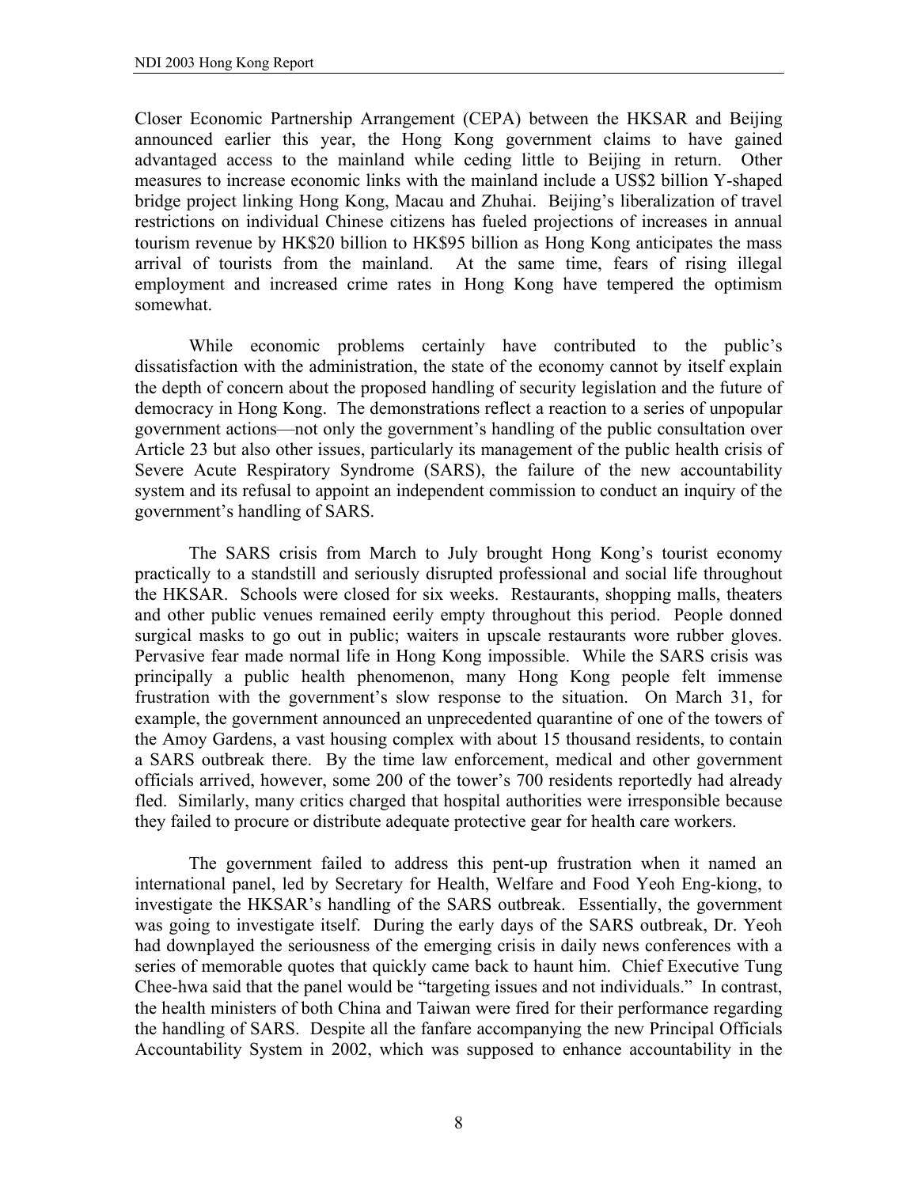Closer Economic Partnership Arrangement (CEPA) between the HKSAR and Beijing announced earlier this year, the Hong Kong government claims to have gained advantaged access to the mainland while ceding little to Beijing in return. Other measures to increase economic links with the mainland include a US\$2 billion Y-shaped bridge project linking Hong Kong, Macau and Zhuhai. Beijing's liberalization of travel restrictions on individual Chinese citizens has fueled projections of increases in annual tourism revenue by HK\$20 billion to HK\$95 billion as Hong Kong anticipates the mass arrival of tourists from the mainland. At the same time, fears of rising illegal employment and increased crime rates in Hong Kong have tempered the optimism somewhat.

 While economic problems certainly have contributed to the public's dissatisfaction with the administration, the state of the economy cannot by itself explain the depth of concern about the proposed handling of security legislation and the future of democracy in Hong Kong. The demonstrations reflect a reaction to a series of unpopular government actions—not only the government's handling of the public consultation over Article 23 but also other issues, particularly its management of the public health crisis of Severe Acute Respiratory Syndrome (SARS), the failure of the new accountability system and its refusal to appoint an independent commission to conduct an inquiry of the government's handling of SARS.

 The SARS crisis from March to July brought Hong Kong's tourist economy practically to a standstill and seriously disrupted professional and social life throughout the HKSAR. Schools were closed for six weeks. Restaurants, shopping malls, theaters and other public venues remained eerily empty throughout this period. People donned surgical masks to go out in public; waiters in upscale restaurants wore rubber gloves. Pervasive fear made normal life in Hong Kong impossible. While the SARS crisis was principally a public health phenomenon, many Hong Kong people felt immense frustration with the government's slow response to the situation. On March 31, for example, the government announced an unprecedented quarantine of one of the towers of the Amoy Gardens, a vast housing complex with about 15 thousand residents, to contain a SARS outbreak there. By the time law enforcement, medical and other government officials arrived, however, some 200 of the tower's 700 residents reportedly had already fled. Similarly, many critics charged that hospital authorities were irresponsible because they failed to procure or distribute adequate protective gear for health care workers.

 The government failed to address this pent-up frustration when it named an international panel, led by Secretary for Health, Welfare and Food Yeoh Eng-kiong, to investigate the HKSAR's handling of the SARS outbreak. Essentially, the government was going to investigate itself. During the early days of the SARS outbreak, Dr. Yeoh had downplayed the seriousness of the emerging crisis in daily news conferences with a series of memorable quotes that quickly came back to haunt him. Chief Executive Tung Chee-hwa said that the panel would be "targeting issues and not individuals." In contrast, the health ministers of both China and Taiwan were fired for their performance regarding the handling of SARS. Despite all the fanfare accompanying the new Principal Officials Accountability System in 2002, which was supposed to enhance accountability in the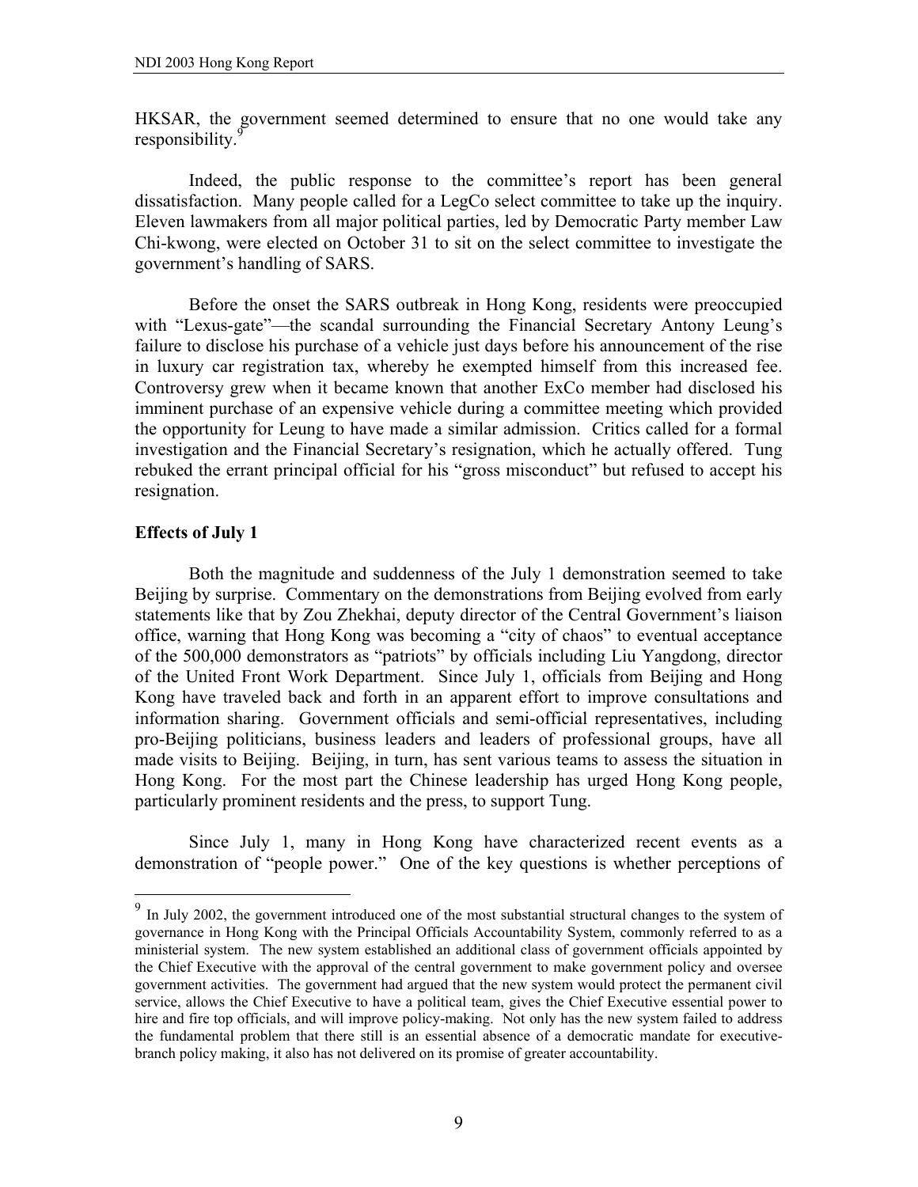HKSAR, the government seemed determined to ensure that no one would take any responsibility.<sup>9</sup>

 Indeed, the public response to the committee's report has been general dissatisfaction. Many people called for a LegCo select committee to take up the inquiry. Eleven lawmakers from all major political parties, led by Democratic Party member Law Chi-kwong, were elected on October 31 to sit on the select committee to investigate the government's handling of SARS.

Before the onset the SARS outbreak in Hong Kong, residents were preoccupied with "Lexus-gate"—the scandal surrounding the Financial Secretary Antony Leung's failure to disclose his purchase of a vehicle just days before his announcement of the rise in luxury car registration tax, whereby he exempted himself from this increased fee. Controversy grew when it became known that another ExCo member had disclosed his imminent purchase of an expensive vehicle during a committee meeting which provided the opportunity for Leung to have made a similar admission. Critics called for a formal investigation and the Financial Secretary's resignation, which he actually offered. Tung rebuked the errant principal official for his "gross misconduct" but refused to accept his resignation.

#### **Effects of July 1**

 $\overline{a}$ 

 Both the magnitude and suddenness of the July 1 demonstration seemed to take Beijing by surprise. Commentary on the demonstrations from Beijing evolved from early statements like that by Zou Zhekhai, deputy director of the Central Government's liaison office, warning that Hong Kong was becoming a "city of chaos" to eventual acceptance of the 500,000 demonstrators as "patriots" by officials including Liu Yangdong, director of the United Front Work Department. Since July 1, officials from Beijing and Hong Kong have traveled back and forth in an apparent effort to improve consultations and information sharing. Government officials and semi-official representatives, including pro-Beijing politicians, business leaders and leaders of professional groups, have all made visits to Beijing. Beijing, in turn, has sent various teams to assess the situation in Hong Kong. For the most part the Chinese leadership has urged Hong Kong people, particularly prominent residents and the press, to support Tung.

 Since July 1, many in Hong Kong have characterized recent events as a demonstration of "people power." One of the key questions is whether perceptions of

 $9<sup>9</sup>$  In July 2002, the government introduced one of the most substantial structural changes to the system of governance in Hong Kong with the Principal Officials Accountability System, commonly referred to as a ministerial system. The new system established an additional class of government officials appointed by the Chief Executive with the approval of the central government to make government policy and oversee government activities. The government had argued that the new system would protect the permanent civil service, allows the Chief Executive to have a political team, gives the Chief Executive essential power to hire and fire top officials, and will improve policy-making. Not only has the new system failed to address the fundamental problem that there still is an essential absence of a democratic mandate for executivebranch policy making, it also has not delivered on its promise of greater accountability.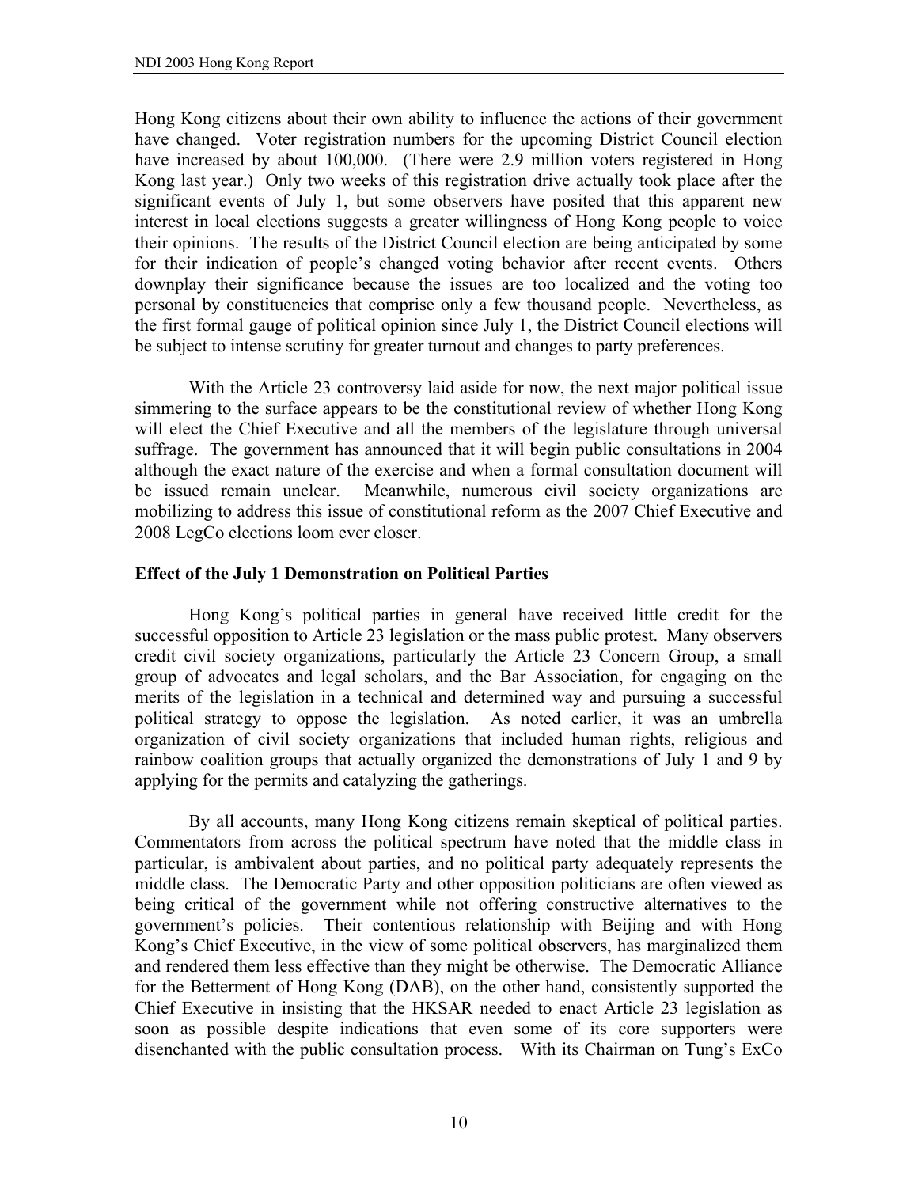Hong Kong citizens about their own ability to influence the actions of their government have changed. Voter registration numbers for the upcoming District Council election have increased by about 100,000. (There were 2.9 million voters registered in Hong Kong last year.) Only two weeks of this registration drive actually took place after the significant events of July 1, but some observers have posited that this apparent new interest in local elections suggests a greater willingness of Hong Kong people to voice their opinions. The results of the District Council election are being anticipated by some for their indication of people's changed voting behavior after recent events. Others downplay their significance because the issues are too localized and the voting too personal by constituencies that comprise only a few thousand people. Nevertheless, as the first formal gauge of political opinion since July 1, the District Council elections will be subject to intense scrutiny for greater turnout and changes to party preferences.

 With the Article 23 controversy laid aside for now, the next major political issue simmering to the surface appears to be the constitutional review of whether Hong Kong will elect the Chief Executive and all the members of the legislature through universal suffrage. The government has announced that it will begin public consultations in 2004 although the exact nature of the exercise and when a formal consultation document will be issued remain unclear. Meanwhile, numerous civil society organizations are mobilizing to address this issue of constitutional reform as the 2007 Chief Executive and 2008 LegCo elections loom ever closer.

# **Effect of the July 1 Demonstration on Political Parties**

 Hong Kong's political parties in general have received little credit for the successful opposition to Article 23 legislation or the mass public protest. Many observers credit civil society organizations, particularly the Article 23 Concern Group, a small group of advocates and legal scholars, and the Bar Association, for engaging on the merits of the legislation in a technical and determined way and pursuing a successful political strategy to oppose the legislation. As noted earlier, it was an umbrella organization of civil society organizations that included human rights, religious and rainbow coalition groups that actually organized the demonstrations of July 1 and 9 by applying for the permits and catalyzing the gatherings.

 By all accounts, many Hong Kong citizens remain skeptical of political parties. Commentators from across the political spectrum have noted that the middle class in particular, is ambivalent about parties, and no political party adequately represents the middle class. The Democratic Party and other opposition politicians are often viewed as being critical of the government while not offering constructive alternatives to the government's policies. Their contentious relationship with Beijing and with Hong Kong's Chief Executive, in the view of some political observers, has marginalized them and rendered them less effective than they might be otherwise. The Democratic Alliance for the Betterment of Hong Kong (DAB), on the other hand, consistently supported the Chief Executive in insisting that the HKSAR needed to enact Article 23 legislation as soon as possible despite indications that even some of its core supporters were disenchanted with the public consultation process. With its Chairman on Tung's ExCo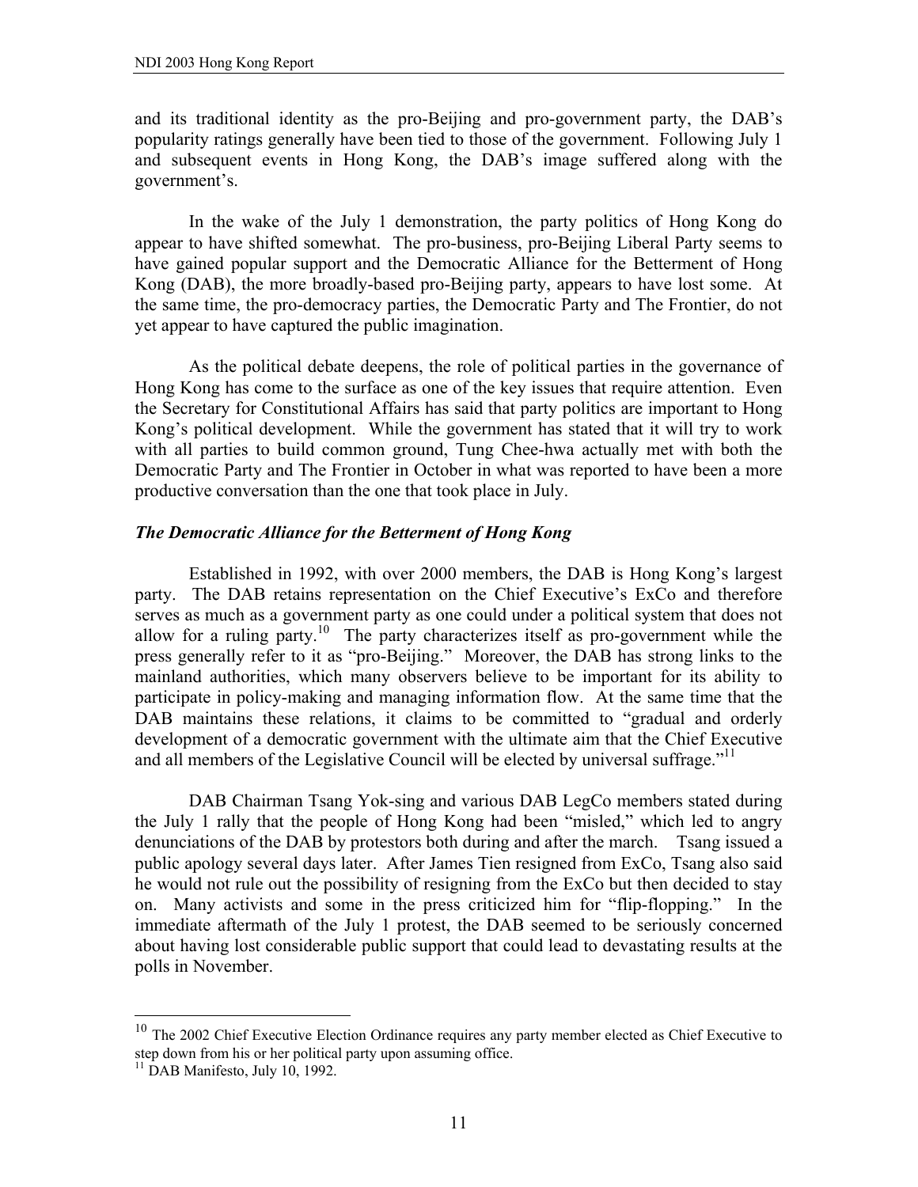and its traditional identity as the pro-Beijing and pro-government party, the DAB's popularity ratings generally have been tied to those of the government. Following July 1 and subsequent events in Hong Kong, the DAB's image suffered along with the government's.

In the wake of the July 1 demonstration, the party politics of Hong Kong do appear to have shifted somewhat. The pro-business, pro-Beijing Liberal Party seems to have gained popular support and the Democratic Alliance for the Betterment of Hong Kong (DAB), the more broadly-based pro-Beijing party, appears to have lost some. At the same time, the pro-democracy parties, the Democratic Party and The Frontier, do not yet appear to have captured the public imagination.

As the political debate deepens, the role of political parties in the governance of Hong Kong has come to the surface as one of the key issues that require attention. Even the Secretary for Constitutional Affairs has said that party politics are important to Hong Kong's political development. While the government has stated that it will try to work with all parties to build common ground, Tung Chee-hwa actually met with both the Democratic Party and The Frontier in October in what was reported to have been a more productive conversation than the one that took place in July.

# *The Democratic Alliance for the Betterment of Hong Kong*

Established in 1992, with over 2000 members, the DAB is Hong Kong's largest party. The DAB retains representation on the Chief Executive's ExCo and therefore serves as much as a government party as one could under a political system that does not allow for a ruling party.10 The party characterizes itself as pro-government while the press generally refer to it as "pro-Beijing." Moreover, the DAB has strong links to the mainland authorities, which many observers believe to be important for its ability to participate in policy-making and managing information flow. At the same time that the DAB maintains these relations, it claims to be committed to "gradual and orderly development of a democratic government with the ultimate aim that the Chief Executive and all members of the Legislative Council will be elected by universal suffrage."<sup>11</sup>

DAB Chairman Tsang Yok-sing and various DAB LegCo members stated during the July 1 rally that the people of Hong Kong had been "misled," which led to angry denunciations of the DAB by protestors both during and after the march. Tsang issued a public apology several days later. After James Tien resigned from ExCo, Tsang also said he would not rule out the possibility of resigning from the ExCo but then decided to stay on. Many activists and some in the press criticized him for "flip-flopping." In the immediate aftermath of the July 1 protest, the DAB seemed to be seriously concerned about having lost considerable public support that could lead to devastating results at the polls in November.

 $\overline{a}$ 

 $10$  The 2002 Chief Executive Election Ordinance requires any party member elected as Chief Executive to step down from his or her political party upon assuming office.

 $11$  DAB Manifesto, July 10, 1992.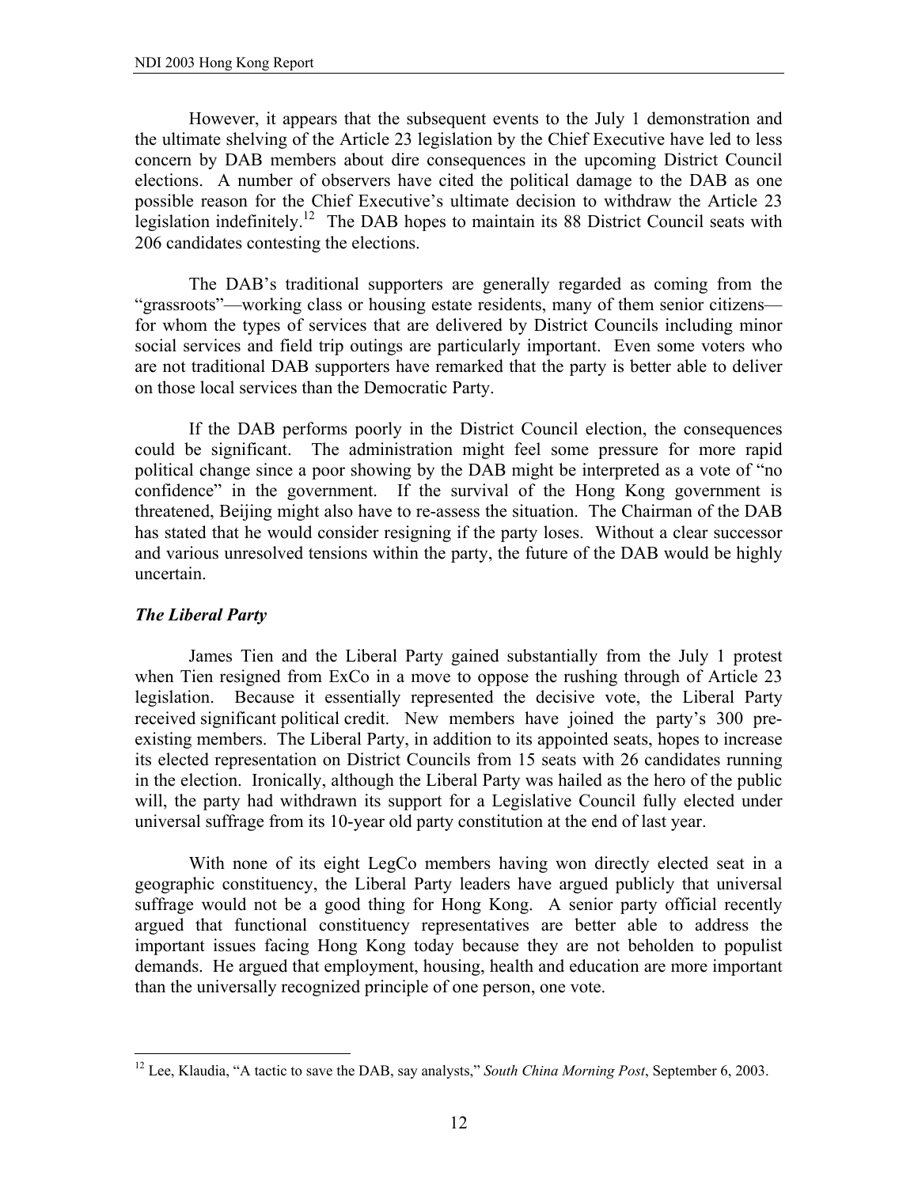However, it appears that the subsequent events to the July 1 demonstration and the ultimate shelving of the Article 23 legislation by the Chief Executive have led to less concern by DAB members about dire consequences in the upcoming District Council elections. A number of observers have cited the political damage to the DAB as one possible reason for the Chief Executive's ultimate decision to withdraw the Article 23 legislation indefinitely.12 The DAB hopes to maintain its 88 District Council seats with 206 candidates contesting the elections.

The DAB's traditional supporters are generally regarded as coming from the "grassroots"—working class or housing estate residents, many of them senior citizens for whom the types of services that are delivered by District Councils including minor social services and field trip outings are particularly important. Even some voters who are not traditional DAB supporters have remarked that the party is better able to deliver on those local services than the Democratic Party.

If the DAB performs poorly in the District Council election, the consequences could be significant. The administration might feel some pressure for more rapid political change since a poor showing by the DAB might be interpreted as a vote of "no confidence" in the government. If the survival of the Hong Kong government is threatened, Beijing might also have to re-assess the situation. The Chairman of the DAB has stated that he would consider resigning if the party loses. Without a clear successor and various unresolved tensions within the party, the future of the DAB would be highly uncertain.

# *The Liberal Party*

 $\overline{a}$ 

 James Tien and the Liberal Party gained substantially from the July 1 protest when Tien resigned from ExCo in a move to oppose the rushing through of Article 23 legislation. Because it essentially represented the decisive vote, the Liberal Party received significant political credit. New members have joined the party's 300 preexisting members. The Liberal Party, in addition to its appointed seats, hopes to increase its elected representation on District Councils from 15 seats with 26 candidates running in the election. Ironically, although the Liberal Party was hailed as the hero of the public will, the party had withdrawn its support for a Legislative Council fully elected under universal suffrage from its 10-year old party constitution at the end of last year.

With none of its eight LegCo members having won directly elected seat in a geographic constituency, the Liberal Party leaders have argued publicly that universal suffrage would not be a good thing for Hong Kong. A senior party official recently argued that functional constituency representatives are better able to address the important issues facing Hong Kong today because they are not beholden to populist demands. He argued that employment, housing, health and education are more important than the universally recognized principle of one person, one vote.

<sup>12</sup> Lee, Klaudia, "A tactic to save the DAB, say analysts," *South China Morning Post*, September 6, 2003.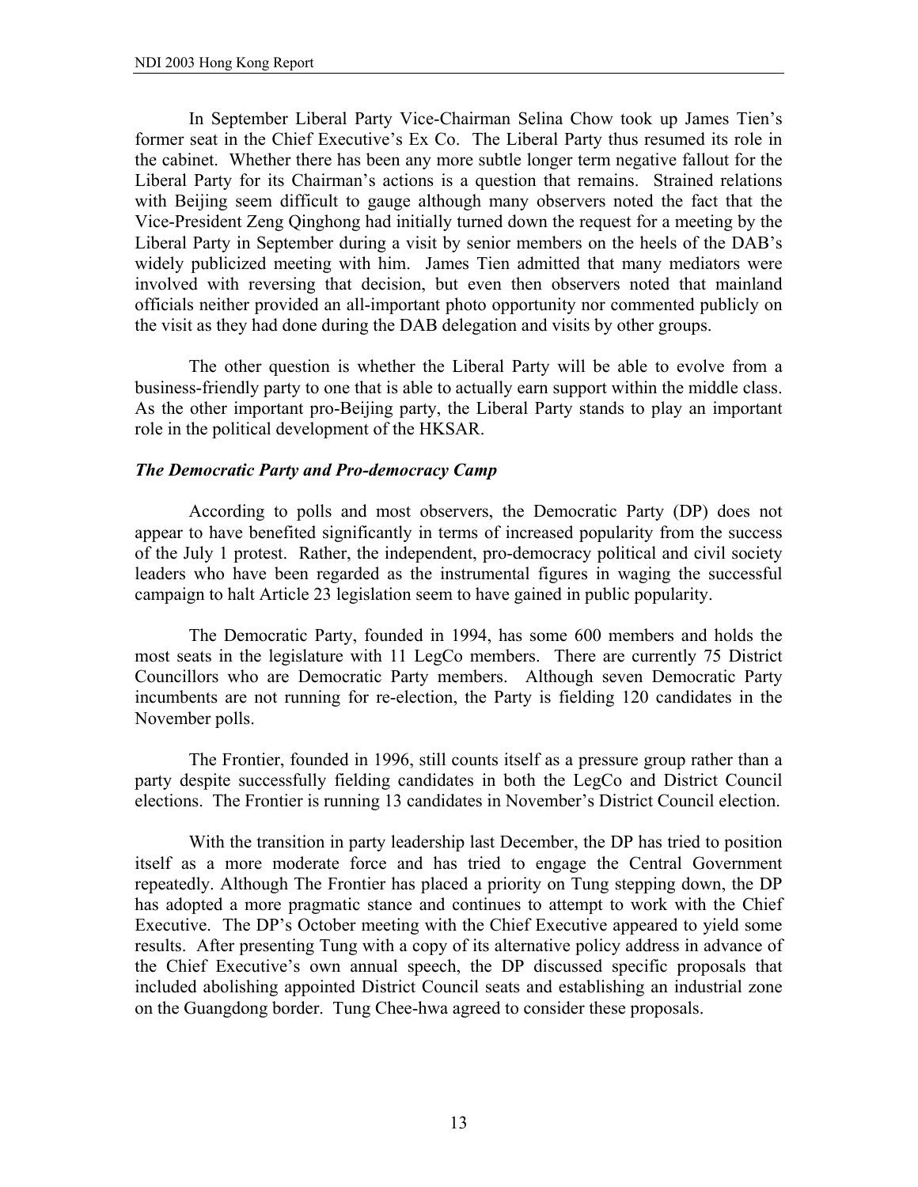In September Liberal Party Vice-Chairman Selina Chow took up James Tien's former seat in the Chief Executive's Ex Co. The Liberal Party thus resumed its role in the cabinet. Whether there has been any more subtle longer term negative fallout for the Liberal Party for its Chairman's actions is a question that remains. Strained relations with Beijing seem difficult to gauge although many observers noted the fact that the Vice-President Zeng Qinghong had initially turned down the request for a meeting by the Liberal Party in September during a visit by senior members on the heels of the DAB's widely publicized meeting with him. James Tien admitted that many mediators were involved with reversing that decision, but even then observers noted that mainland officials neither provided an all-important photo opportunity nor commented publicly on the visit as they had done during the DAB delegation and visits by other groups.

The other question is whether the Liberal Party will be able to evolve from a business-friendly party to one that is able to actually earn support within the middle class. As the other important pro-Beijing party, the Liberal Party stands to play an important role in the political development of the HKSAR.

# *The Democratic Party and Pro-democracy Camp*

 According to polls and most observers, the Democratic Party (DP) does not appear to have benefited significantly in terms of increased popularity from the success of the July 1 protest. Rather, the independent, pro-democracy political and civil society leaders who have been regarded as the instrumental figures in waging the successful campaign to halt Article 23 legislation seem to have gained in public popularity.

The Democratic Party, founded in 1994, has some 600 members and holds the most seats in the legislature with 11 LegCo members. There are currently 75 District Councillors who are Democratic Party members. Although seven Democratic Party incumbents are not running for re-election, the Party is fielding 120 candidates in the November polls.

The Frontier, founded in 1996, still counts itself as a pressure group rather than a party despite successfully fielding candidates in both the LegCo and District Council elections. The Frontier is running 13 candidates in November's District Council election.

With the transition in party leadership last December, the DP has tried to position itself as a more moderate force and has tried to engage the Central Government repeatedly. Although The Frontier has placed a priority on Tung stepping down, the DP has adopted a more pragmatic stance and continues to attempt to work with the Chief Executive. The DP's October meeting with the Chief Executive appeared to yield some results. After presenting Tung with a copy of its alternative policy address in advance of the Chief Executive's own annual speech, the DP discussed specific proposals that included abolishing appointed District Council seats and establishing an industrial zone on the Guangdong border. Tung Chee-hwa agreed to consider these proposals.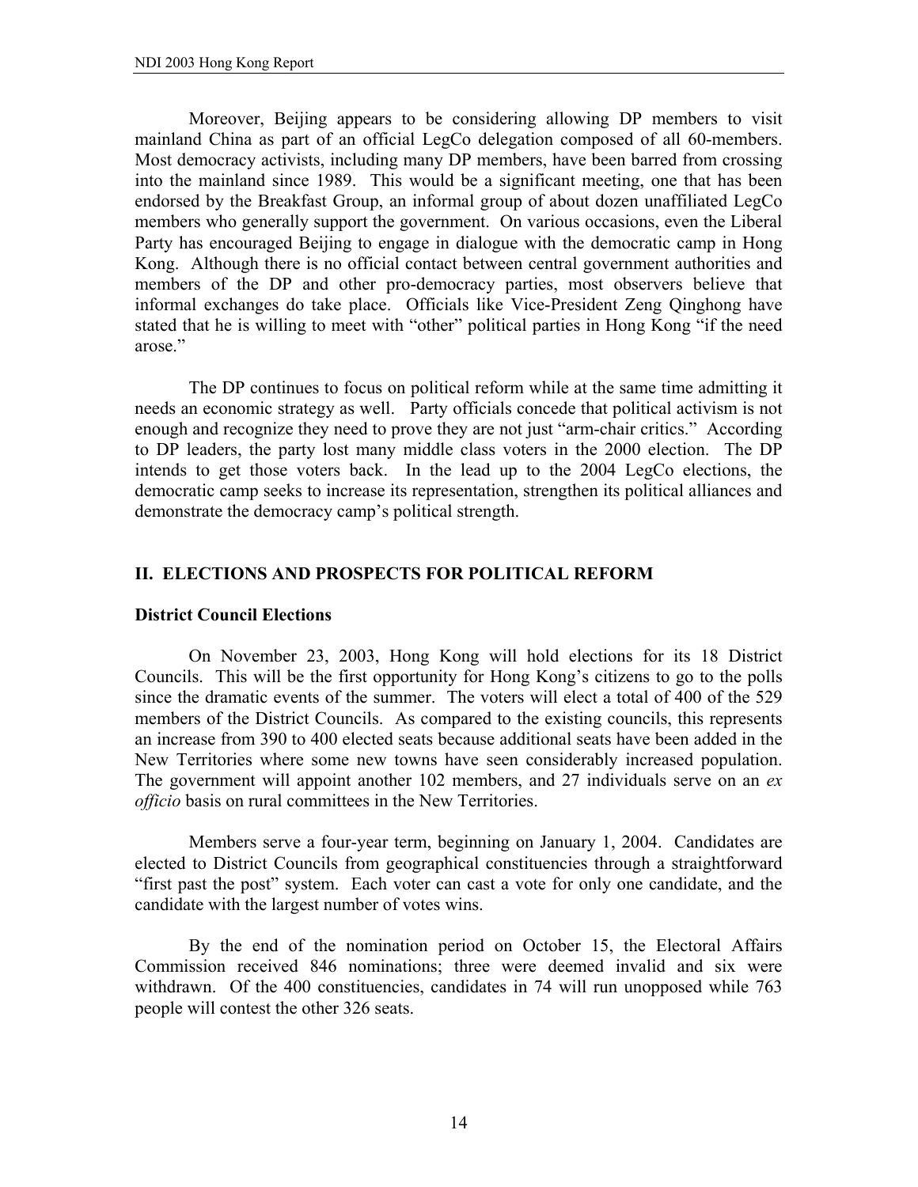Moreover, Beijing appears to be considering allowing DP members to visit mainland China as part of an official LegCo delegation composed of all 60-members. Most democracy activists, including many DP members, have been barred from crossing into the mainland since 1989. This would be a significant meeting, one that has been endorsed by the Breakfast Group, an informal group of about dozen unaffiliated LegCo members who generally support the government. On various occasions, even the Liberal Party has encouraged Beijing to engage in dialogue with the democratic camp in Hong Kong. Although there is no official contact between central government authorities and members of the DP and other pro-democracy parties, most observers believe that informal exchanges do take place. Officials like Vice-President Zeng Qinghong have stated that he is willing to meet with "other" political parties in Hong Kong "if the need arose."

The DP continues to focus on political reform while at the same time admitting it needs an economic strategy as well. Party officials concede that political activism is not enough and recognize they need to prove they are not just "arm-chair critics." According to DP leaders, the party lost many middle class voters in the 2000 election. The DP intends to get those voters back. In the lead up to the 2004 LegCo elections, the democratic camp seeks to increase its representation, strengthen its political alliances and demonstrate the democracy camp's political strength.

# **II. ELECTIONS AND PROSPECTS FOR POLITICAL REFORM**

# **District Council Elections**

 On November 23, 2003, Hong Kong will hold elections for its 18 District Councils. This will be the first opportunity for Hong Kong's citizens to go to the polls since the dramatic events of the summer. The voters will elect a total of 400 of the 529 members of the District Councils. As compared to the existing councils, this represents an increase from 390 to 400 elected seats because additional seats have been added in the New Territories where some new towns have seen considerably increased population. The government will appoint another 102 members, and 27 individuals serve on an *ex officio* basis on rural committees in the New Territories.

 Members serve a four-year term, beginning on January 1, 2004. Candidates are elected to District Councils from geographical constituencies through a straightforward "first past the post" system. Each voter can cast a vote for only one candidate, and the candidate with the largest number of votes wins.

 By the end of the nomination period on October 15, the Electoral Affairs Commission received 846 nominations; three were deemed invalid and six were withdrawn. Of the 400 constituencies, candidates in 74 will run unopposed while 763 people will contest the other 326 seats.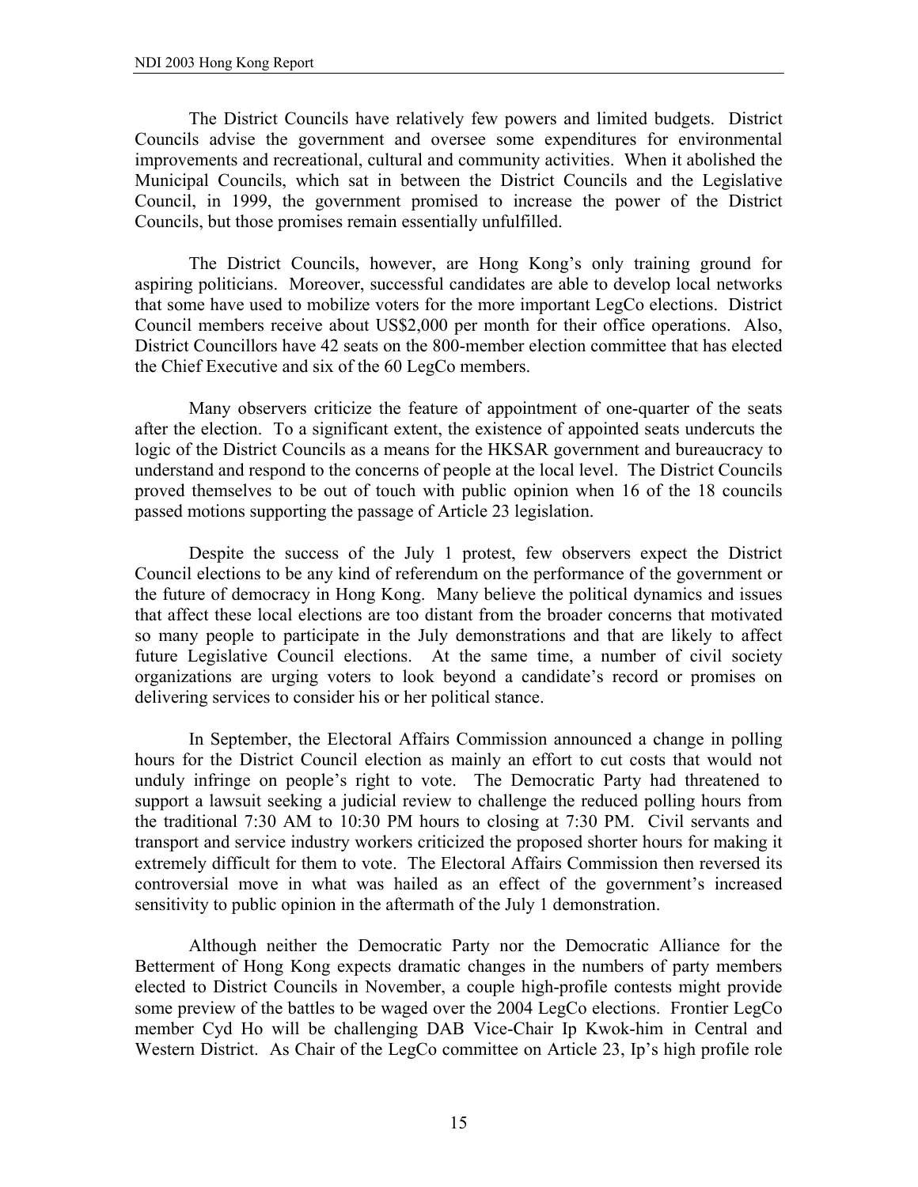The District Councils have relatively few powers and limited budgets. District Councils advise the government and oversee some expenditures for environmental improvements and recreational, cultural and community activities. When it abolished the Municipal Councils, which sat in between the District Councils and the Legislative Council, in 1999, the government promised to increase the power of the District Councils, but those promises remain essentially unfulfilled.

 The District Councils, however, are Hong Kong's only training ground for aspiring politicians. Moreover, successful candidates are able to develop local networks that some have used to mobilize voters for the more important LegCo elections. District Council members receive about US\$2,000 per month for their office operations. Also, District Councillors have 42 seats on the 800-member election committee that has elected the Chief Executive and six of the 60 LegCo members.

Many observers criticize the feature of appointment of one-quarter of the seats after the election. To a significant extent, the existence of appointed seats undercuts the logic of the District Councils as a means for the HKSAR government and bureaucracy to understand and respond to the concerns of people at the local level. The District Councils proved themselves to be out of touch with public opinion when 16 of the 18 councils passed motions supporting the passage of Article 23 legislation.

 Despite the success of the July 1 protest, few observers expect the District Council elections to be any kind of referendum on the performance of the government or the future of democracy in Hong Kong. Many believe the political dynamics and issues that affect these local elections are too distant from the broader concerns that motivated so many people to participate in the July demonstrations and that are likely to affect future Legislative Council elections. At the same time, a number of civil society organizations are urging voters to look beyond a candidate's record or promises on delivering services to consider his or her political stance.

 In September, the Electoral Affairs Commission announced a change in polling hours for the District Council election as mainly an effort to cut costs that would not unduly infringe on people's right to vote. The Democratic Party had threatened to support a lawsuit seeking a judicial review to challenge the reduced polling hours from the traditional 7:30 AM to 10:30 PM hours to closing at 7:30 PM. Civil servants and transport and service industry workers criticized the proposed shorter hours for making it extremely difficult for them to vote. The Electoral Affairs Commission then reversed its controversial move in what was hailed as an effect of the government's increased sensitivity to public opinion in the aftermath of the July 1 demonstration.

 Although neither the Democratic Party nor the Democratic Alliance for the Betterment of Hong Kong expects dramatic changes in the numbers of party members elected to District Councils in November, a couple high-profile contests might provide some preview of the battles to be waged over the 2004 LegCo elections. Frontier LegCo member Cyd Ho will be challenging DAB Vice-Chair Ip Kwok-him in Central and Western District. As Chair of the LegCo committee on Article 23, Ip's high profile role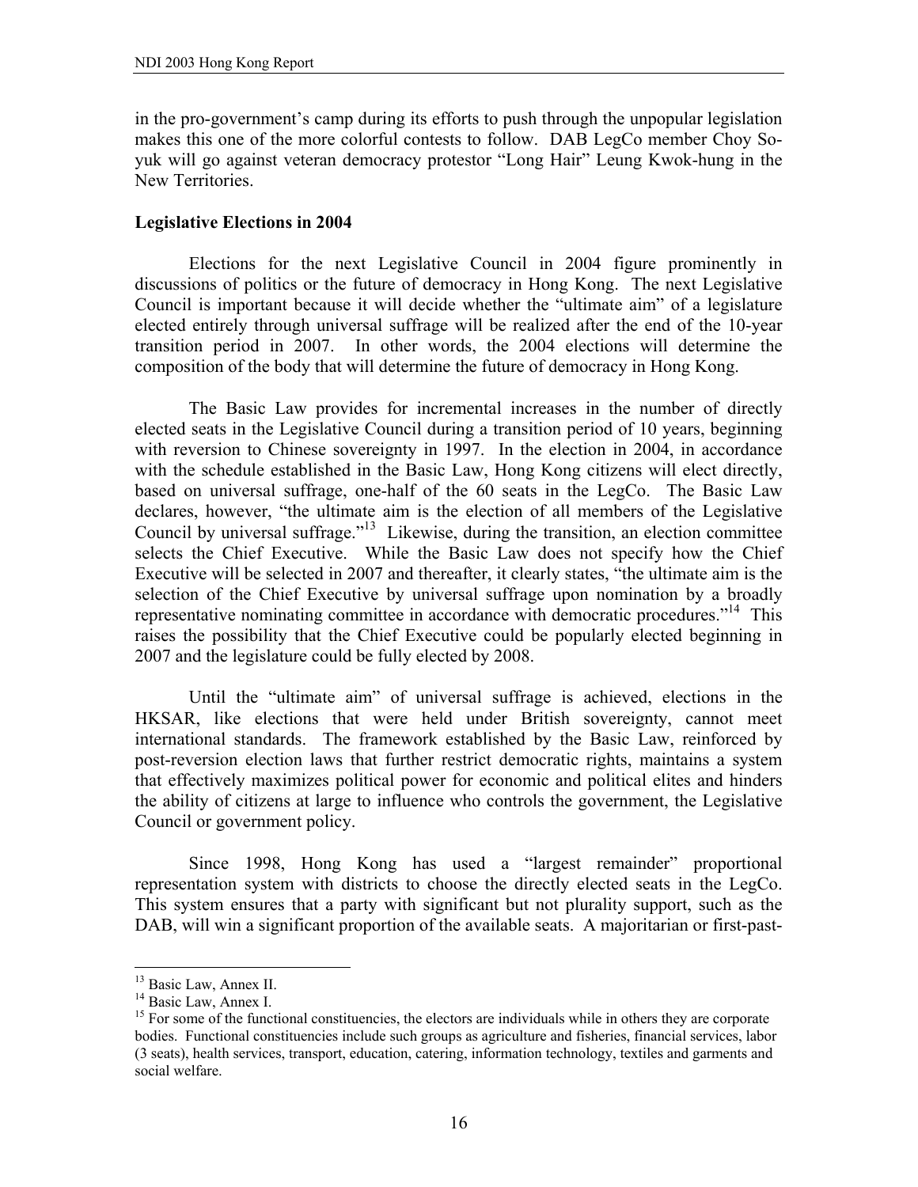in the pro-government's camp during its efforts to push through the unpopular legislation makes this one of the more colorful contests to follow. DAB LegCo member Choy Soyuk will go against veteran democracy protestor "Long Hair" Leung Kwok-hung in the New Territories.

# **Legislative Elections in 2004**

 Elections for the next Legislative Council in 2004 figure prominently in discussions of politics or the future of democracy in Hong Kong. The next Legislative Council is important because it will decide whether the "ultimate aim" of a legislature elected entirely through universal suffrage will be realized after the end of the 10-year transition period in 2007. In other words, the 2004 elections will determine the composition of the body that will determine the future of democracy in Hong Kong.

 The Basic Law provides for incremental increases in the number of directly elected seats in the Legislative Council during a transition period of 10 years, beginning with reversion to Chinese sovereignty in 1997. In the election in 2004, in accordance with the schedule established in the Basic Law, Hong Kong citizens will elect directly, based on universal suffrage, one-half of the 60 seats in the LegCo. The Basic Law declares, however, "the ultimate aim is the election of all members of the Legislative Council by universal suffrage."13 Likewise, during the transition, an election committee selects the Chief Executive. While the Basic Law does not specify how the Chief Executive will be selected in 2007 and thereafter, it clearly states, "the ultimate aim is the selection of the Chief Executive by universal suffrage upon nomination by a broadly representative nominating committee in accordance with democratic procedures."<sup>14</sup> This raises the possibility that the Chief Executive could be popularly elected beginning in 2007 and the legislature could be fully elected by 2008.

 Until the "ultimate aim" of universal suffrage is achieved, elections in the HKSAR, like elections that were held under British sovereignty, cannot meet international standards. The framework established by the Basic Law, reinforced by post-reversion election laws that further restrict democratic rights, maintains a system that effectively maximizes political power for economic and political elites and hinders the ability of citizens at large to influence who controls the government, the Legislative Council or government policy.

 Since 1998, Hong Kong has used a "largest remainder" proportional representation system with districts to choose the directly elected seats in the LegCo. This system ensures that a party with significant but not plurality support, such as the DAB, will win a significant proportion of the available seats. A majoritarian or first-past-

1

<sup>&</sup>lt;sup>13</sup> Basic Law, Annex II.

<sup>&</sup>lt;sup>14</sup> Basic Law, Annex I.

<sup>&</sup>lt;sup>15</sup> For some of the functional constituencies, the electors are individuals while in others they are corporate bodies. Functional constituencies include such groups as agriculture and fisheries, financial services, labor (3 seats), health services, transport, education, catering, information technology, textiles and garments and social welfare.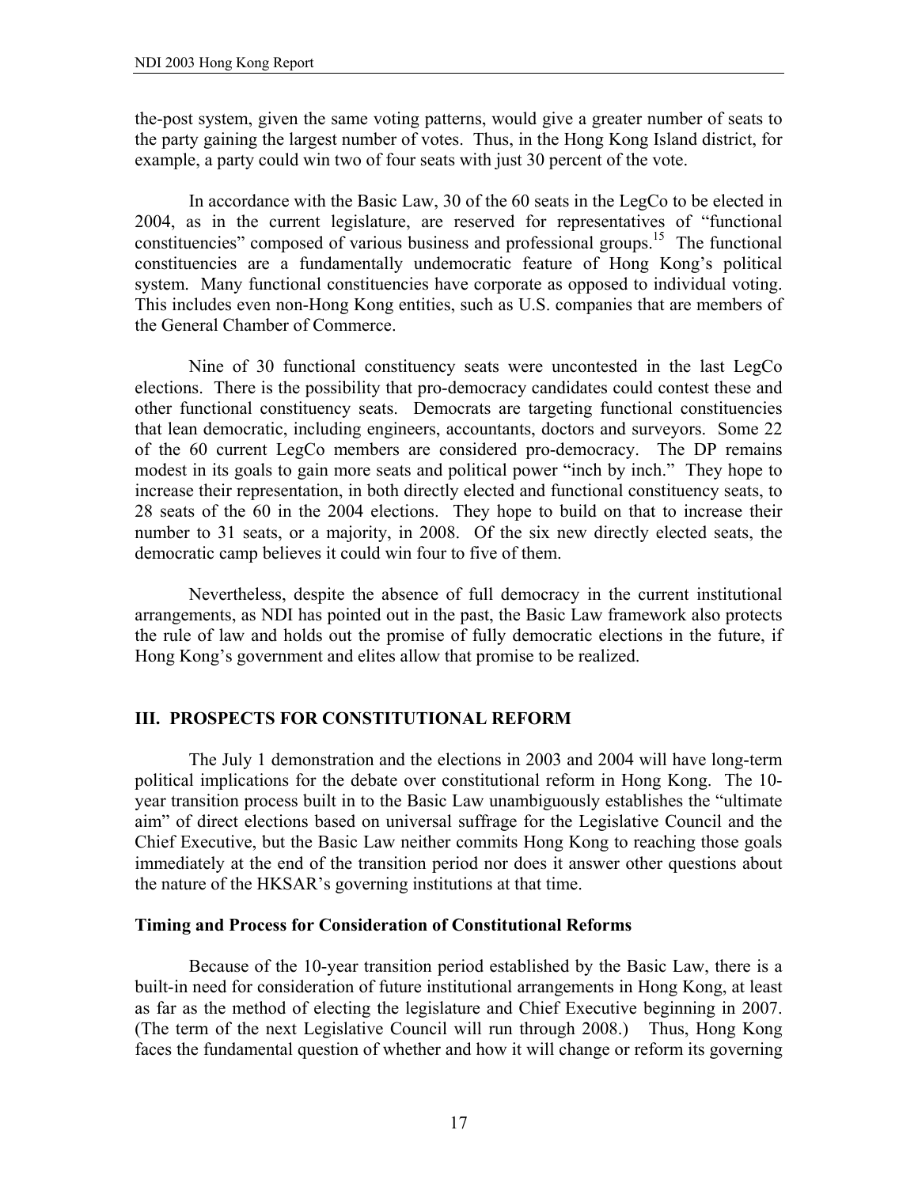the-post system, given the same voting patterns, would give a greater number of seats to the party gaining the largest number of votes. Thus, in the Hong Kong Island district, for example, a party could win two of four seats with just 30 percent of the vote.

 In accordance with the Basic Law, 30 of the 60 seats in the LegCo to be elected in 2004, as in the current legislature, are reserved for representatives of "functional constituencies" composed of various business and professional groups.15 The functional constituencies are a fundamentally undemocratic feature of Hong Kong's political system. Many functional constituencies have corporate as opposed to individual voting. This includes even non-Hong Kong entities, such as U.S. companies that are members of the General Chamber of Commerce.

Nine of 30 functional constituency seats were uncontested in the last LegCo elections. There is the possibility that pro-democracy candidates could contest these and other functional constituency seats. Democrats are targeting functional constituencies that lean democratic, including engineers, accountants, doctors and surveyors. Some 22 of the 60 current LegCo members are considered pro-democracy. The DP remains modest in its goals to gain more seats and political power "inch by inch." They hope to increase their representation, in both directly elected and functional constituency seats, to 28 seats of the 60 in the 2004 elections. They hope to build on that to increase their number to 31 seats, or a majority, in 2008. Of the six new directly elected seats, the democratic camp believes it could win four to five of them.

 Nevertheless, despite the absence of full democracy in the current institutional arrangements, as NDI has pointed out in the past, the Basic Law framework also protects the rule of law and holds out the promise of fully democratic elections in the future, if Hong Kong's government and elites allow that promise to be realized.

# **III. PROSPECTS FOR CONSTITUTIONAL REFORM**

 The July 1 demonstration and the elections in 2003 and 2004 will have long-term political implications for the debate over constitutional reform in Hong Kong. The 10 year transition process built in to the Basic Law unambiguously establishes the "ultimate aim" of direct elections based on universal suffrage for the Legislative Council and the Chief Executive, but the Basic Law neither commits Hong Kong to reaching those goals immediately at the end of the transition period nor does it answer other questions about the nature of the HKSAR's governing institutions at that time.

#### **Timing and Process for Consideration of Constitutional Reforms**

 Because of the 10-year transition period established by the Basic Law, there is a built-in need for consideration of future institutional arrangements in Hong Kong, at least as far as the method of electing the legislature and Chief Executive beginning in 2007. (The term of the next Legislative Council will run through 2008.) Thus, Hong Kong faces the fundamental question of whether and how it will change or reform its governing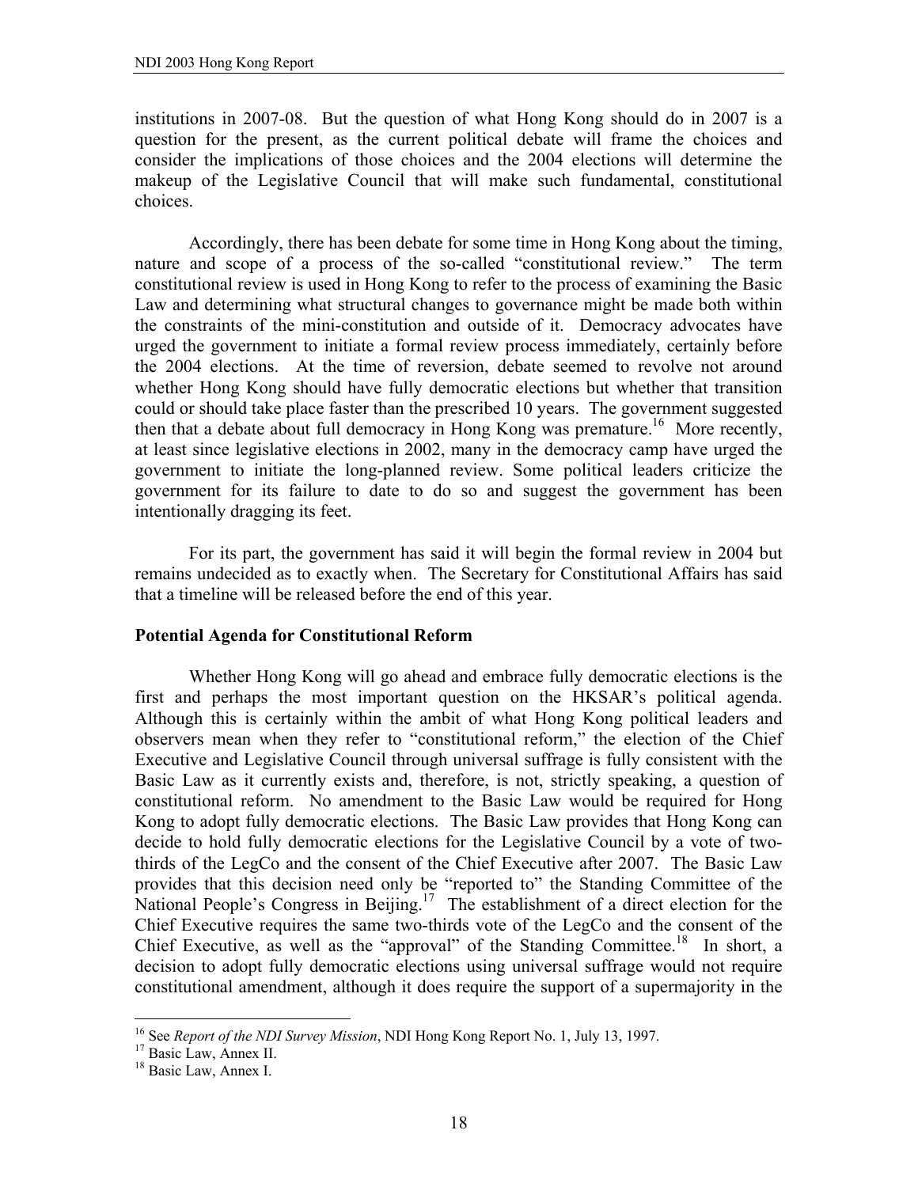institutions in 2007-08. But the question of what Hong Kong should do in 2007 is a question for the present, as the current political debate will frame the choices and consider the implications of those choices and the 2004 elections will determine the makeup of the Legislative Council that will make such fundamental, constitutional choices.

 Accordingly, there has been debate for some time in Hong Kong about the timing, nature and scope of a process of the so-called "constitutional review." The term constitutional review is used in Hong Kong to refer to the process of examining the Basic Law and determining what structural changes to governance might be made both within the constraints of the mini-constitution and outside of it. Democracy advocates have urged the government to initiate a formal review process immediately, certainly before the 2004 elections. At the time of reversion, debate seemed to revolve not around whether Hong Kong should have fully democratic elections but whether that transition could or should take place faster than the prescribed 10 years. The government suggested then that a debate about full democracy in Hong Kong was premature.<sup>16</sup> More recently, at least since legislative elections in 2002, many in the democracy camp have urged the government to initiate the long-planned review. Some political leaders criticize the government for its failure to date to do so and suggest the government has been intentionally dragging its feet.

 For its part, the government has said it will begin the formal review in 2004 but remains undecided as to exactly when. The Secretary for Constitutional Affairs has said that a timeline will be released before the end of this year.

#### **Potential Agenda for Constitutional Reform**

 Whether Hong Kong will go ahead and embrace fully democratic elections is the first and perhaps the most important question on the HKSAR's political agenda. Although this is certainly within the ambit of what Hong Kong political leaders and observers mean when they refer to "constitutional reform," the election of the Chief Executive and Legislative Council through universal suffrage is fully consistent with the Basic Law as it currently exists and, therefore, is not, strictly speaking, a question of constitutional reform. No amendment to the Basic Law would be required for Hong Kong to adopt fully democratic elections. The Basic Law provides that Hong Kong can decide to hold fully democratic elections for the Legislative Council by a vote of twothirds of the LegCo and the consent of the Chief Executive after 2007. The Basic Law provides that this decision need only be "reported to" the Standing Committee of the National People's Congress in Beijing.<sup>17</sup> The establishment of a direct election for the Chief Executive requires the same two-thirds vote of the LegCo and the consent of the Chief Executive, as well as the "approval" of the Standing Committee.<sup>18</sup> In short, a decision to adopt fully democratic elections using universal suffrage would not require constitutional amendment, although it does require the support of a supermajority in the

 $\overline{a}$ 

<sup>&</sup>lt;sup>16</sup> See *Report of the NDI Survey Mission*, NDI Hong Kong Report No. 1, July 13, 1997.<br><sup>17</sup> Basic Law, Annex II.

<sup>&</sup>lt;sup>18</sup> Basic Law, Annex I.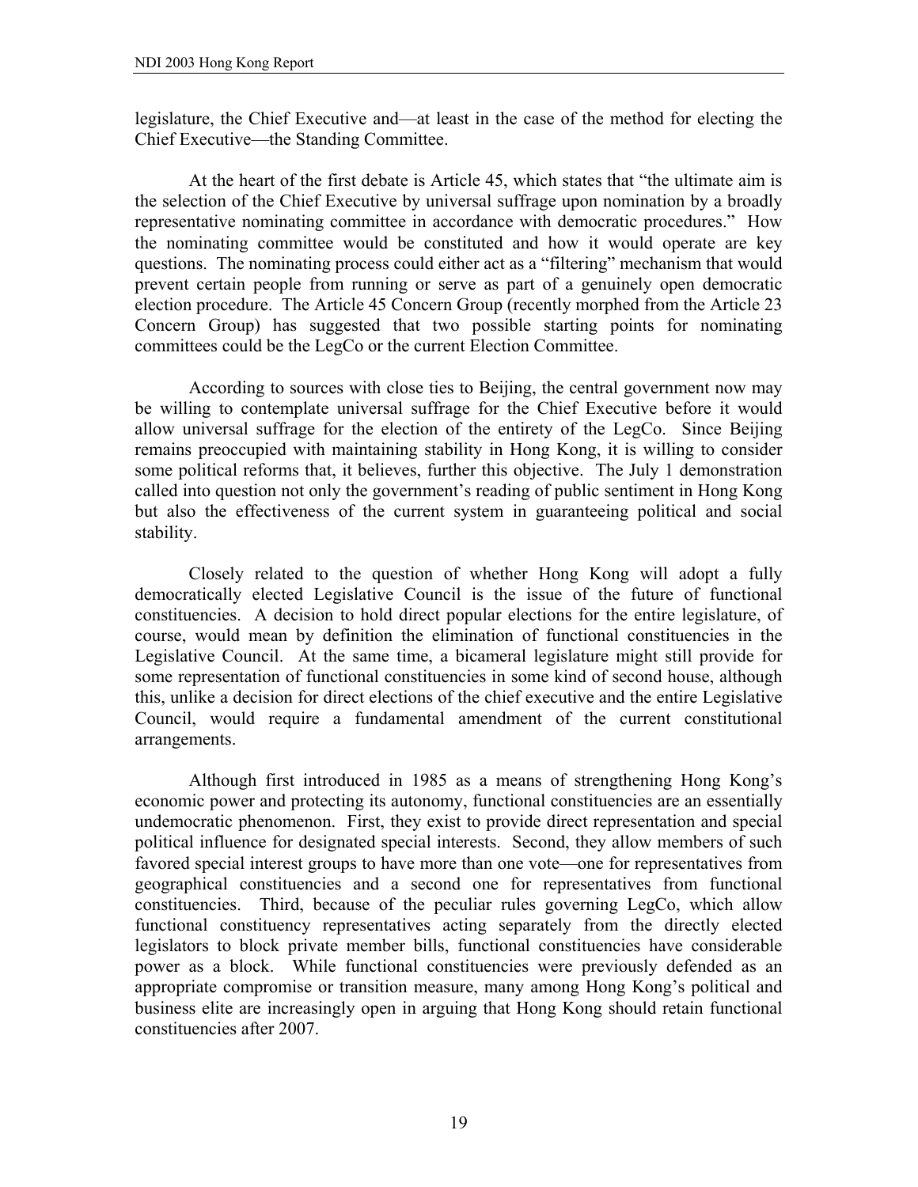legislature, the Chief Executive and—at least in the case of the method for electing the Chief Executive—the Standing Committee.

At the heart of the first debate is Article 45, which states that "the ultimate aim is the selection of the Chief Executive by universal suffrage upon nomination by a broadly representative nominating committee in accordance with democratic procedures." How the nominating committee would be constituted and how it would operate are key questions. The nominating process could either act as a "filtering" mechanism that would prevent certain people from running or serve as part of a genuinely open democratic election procedure. The Article 45 Concern Group (recently morphed from the Article 23 Concern Group) has suggested that two possible starting points for nominating committees could be the LegCo or the current Election Committee.

 According to sources with close ties to Beijing, the central government now may be willing to contemplate universal suffrage for the Chief Executive before it would allow universal suffrage for the election of the entirety of the LegCo. Since Beijing remains preoccupied with maintaining stability in Hong Kong, it is willing to consider some political reforms that, it believes, further this objective. The July 1 demonstration called into question not only the government's reading of public sentiment in Hong Kong but also the effectiveness of the current system in guaranteeing political and social stability.

 Closely related to the question of whether Hong Kong will adopt a fully democratically elected Legislative Council is the issue of the future of functional constituencies. A decision to hold direct popular elections for the entire legislature, of course, would mean by definition the elimination of functional constituencies in the Legislative Council. At the same time, a bicameral legislature might still provide for some representation of functional constituencies in some kind of second house, although this, unlike a decision for direct elections of the chief executive and the entire Legislative Council, would require a fundamental amendment of the current constitutional arrangements.

Although first introduced in 1985 as a means of strengthening Hong Kong's economic power and protecting its autonomy, functional constituencies are an essentially undemocratic phenomenon. First, they exist to provide direct representation and special political influence for designated special interests. Second, they allow members of such favored special interest groups to have more than one vote—one for representatives from geographical constituencies and a second one for representatives from functional constituencies. Third, because of the peculiar rules governing LegCo, which allow functional constituency representatives acting separately from the directly elected legislators to block private member bills, functional constituencies have considerable power as a block. While functional constituencies were previously defended as an appropriate compromise or transition measure, many among Hong Kong's political and business elite are increasingly open in arguing that Hong Kong should retain functional constituencies after 2007.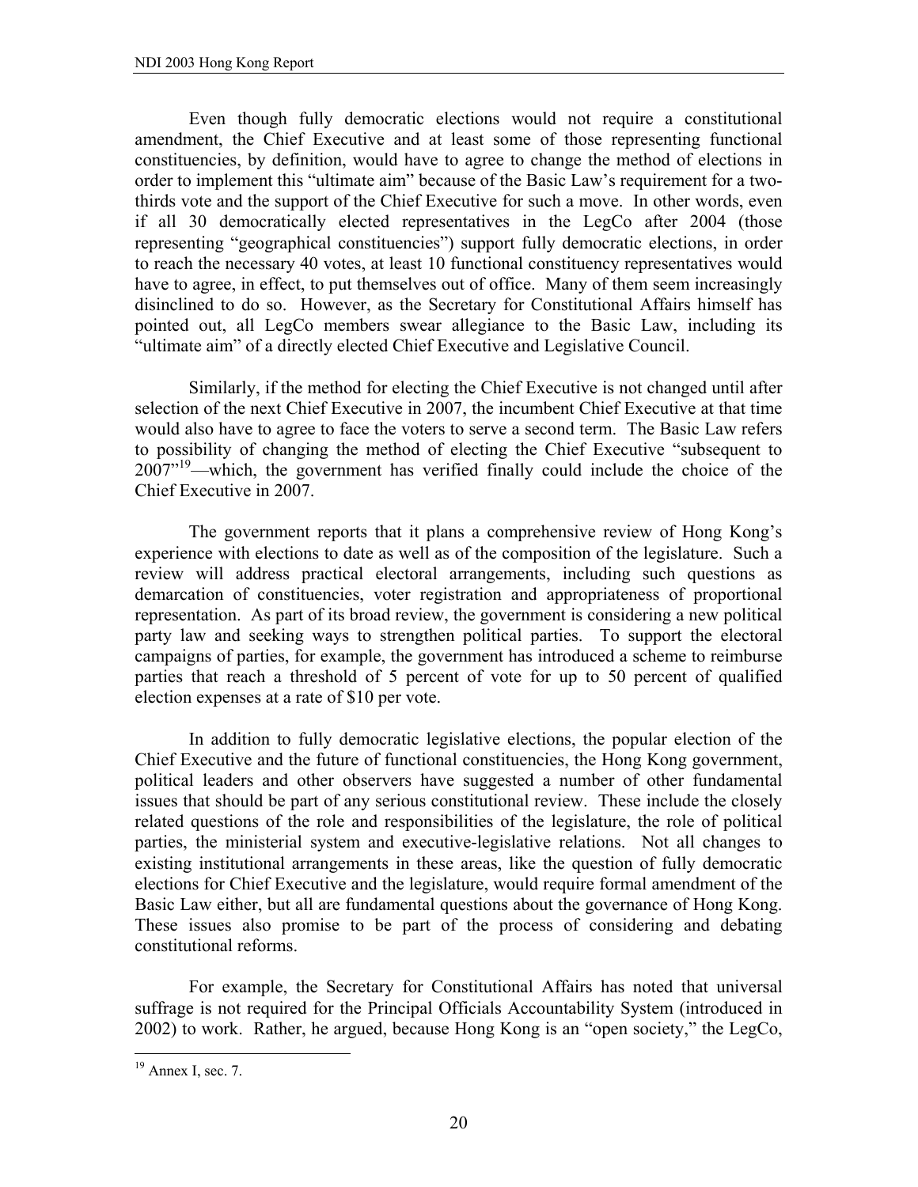Even though fully democratic elections would not require a constitutional amendment, the Chief Executive and at least some of those representing functional constituencies, by definition, would have to agree to change the method of elections in order to implement this "ultimate aim" because of the Basic Law's requirement for a twothirds vote and the support of the Chief Executive for such a move. In other words, even if all 30 democratically elected representatives in the LegCo after 2004 (those representing "geographical constituencies") support fully democratic elections, in order to reach the necessary 40 votes, at least 10 functional constituency representatives would have to agree, in effect, to put themselves out of office. Many of them seem increasingly disinclined to do so. However, as the Secretary for Constitutional Affairs himself has pointed out, all LegCo members swear allegiance to the Basic Law, including its "ultimate aim" of a directly elected Chief Executive and Legislative Council.

 Similarly, if the method for electing the Chief Executive is not changed until after selection of the next Chief Executive in 2007, the incumbent Chief Executive at that time would also have to agree to face the voters to serve a second term. The Basic Law refers to possibility of changing the method of electing the Chief Executive "subsequent to 2007"<sup>19</sup>—which, the government has verified finally could include the choice of the Chief Executive in 2007.

 The government reports that it plans a comprehensive review of Hong Kong's experience with elections to date as well as of the composition of the legislature. Such a review will address practical electoral arrangements, including such questions as demarcation of constituencies, voter registration and appropriateness of proportional representation. As part of its broad review, the government is considering a new political party law and seeking ways to strengthen political parties. To support the electoral campaigns of parties, for example, the government has introduced a scheme to reimburse parties that reach a threshold of 5 percent of vote for up to 50 percent of qualified election expenses at a rate of \$10 per vote.

 In addition to fully democratic legislative elections, the popular election of the Chief Executive and the future of functional constituencies, the Hong Kong government, political leaders and other observers have suggested a number of other fundamental issues that should be part of any serious constitutional review. These include the closely related questions of the role and responsibilities of the legislature, the role of political parties, the ministerial system and executive-legislative relations. Not all changes to existing institutional arrangements in these areas, like the question of fully democratic elections for Chief Executive and the legislature, would require formal amendment of the Basic Law either, but all are fundamental questions about the governance of Hong Kong. These issues also promise to be part of the process of considering and debating constitutional reforms.

For example, the Secretary for Constitutional Affairs has noted that universal suffrage is not required for the Principal Officials Accountability System (introduced in 2002) to work. Rather, he argued, because Hong Kong is an "open society," the LegCo,

 $\overline{a}$ 

 $19$  Annex I, sec. 7.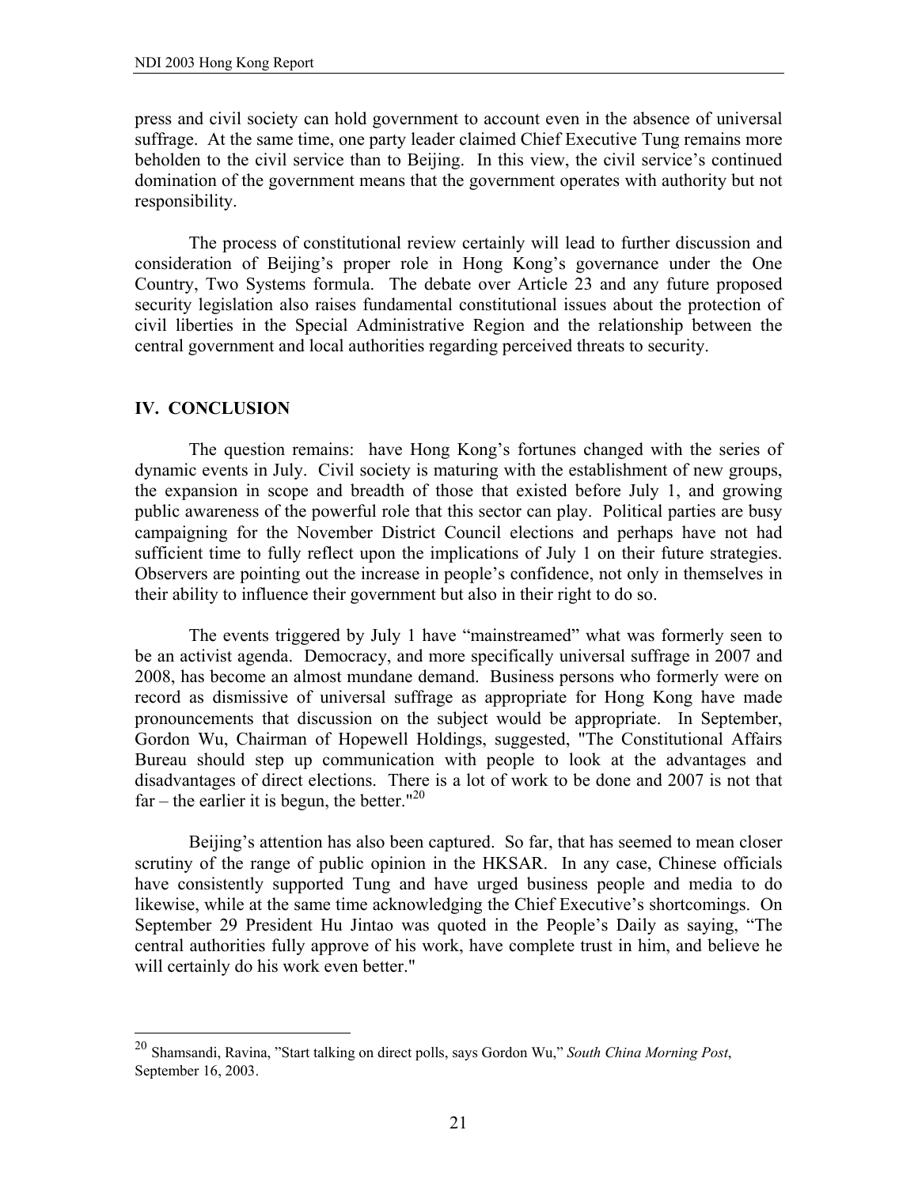press and civil society can hold government to account even in the absence of universal suffrage. At the same time, one party leader claimed Chief Executive Tung remains more beholden to the civil service than to Beijing. In this view, the civil service's continued domination of the government means that the government operates with authority but not responsibility.

 The process of constitutional review certainly will lead to further discussion and consideration of Beijing's proper role in Hong Kong's governance under the One Country, Two Systems formula. The debate over Article 23 and any future proposed security legislation also raises fundamental constitutional issues about the protection of civil liberties in the Special Administrative Region and the relationship between the central government and local authorities regarding perceived threats to security.

# **IV. CONCLUSION**

1

 The question remains: have Hong Kong's fortunes changed with the series of dynamic events in July. Civil society is maturing with the establishment of new groups, the expansion in scope and breadth of those that existed before July 1, and growing public awareness of the powerful role that this sector can play. Political parties are busy campaigning for the November District Council elections and perhaps have not had sufficient time to fully reflect upon the implications of July 1 on their future strategies. Observers are pointing out the increase in people's confidence, not only in themselves in their ability to influence their government but also in their right to do so.

 The events triggered by July 1 have "mainstreamed" what was formerly seen to be an activist agenda. Democracy, and more specifically universal suffrage in 2007 and 2008, has become an almost mundane demand. Business persons who formerly were on record as dismissive of universal suffrage as appropriate for Hong Kong have made pronouncements that discussion on the subject would be appropriate. In September, Gordon Wu, Chairman of Hopewell Holdings, suggested, "The Constitutional Affairs Bureau should step up communication with people to look at the advantages and disadvantages of direct elections. There is a lot of work to be done and 2007 is not that far – the earlier it is begun, the better."<sup>20</sup>

 Beijing's attention has also been captured. So far, that has seemed to mean closer scrutiny of the range of public opinion in the HKSAR. In any case, Chinese officials have consistently supported Tung and have urged business people and media to do likewise, while at the same time acknowledging the Chief Executive's shortcomings. On September 29 President Hu Jintao was quoted in the People's Daily as saying, "The central authorities fully approve of his work, have complete trust in him, and believe he will certainly do his work even better."

<sup>20</sup> Shamsandi, Ravina, "Start talking on direct polls, says Gordon Wu," *South China Morning Post*, September 16, 2003.